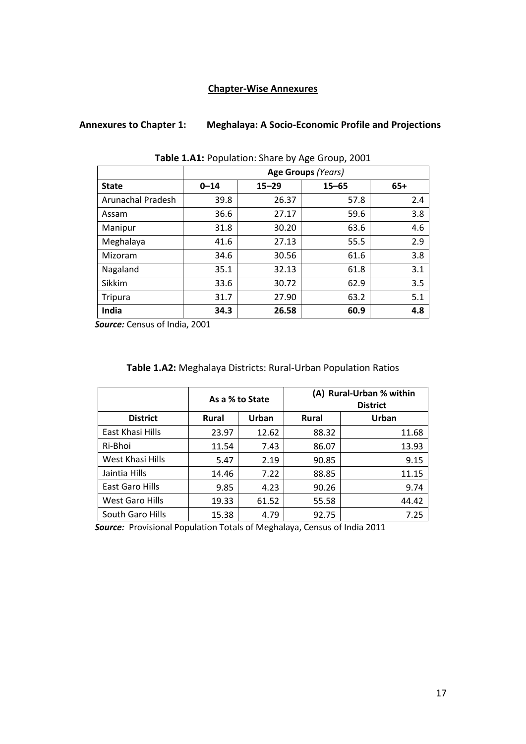### **Chapter-Wise Annexures**

# **Annexures to Chapter 1: Meghalaya: A Socio-Economic Profile and Projections**

|                          | Age Groups (Years) |           |           |       |
|--------------------------|--------------------|-----------|-----------|-------|
| <b>State</b>             | $0 - 14$           | $15 - 29$ | $15 - 65$ | $65+$ |
| <b>Arunachal Pradesh</b> | 39.8               | 26.37     | 57.8      | 2.4   |
| Assam                    | 36.6               | 27.17     | 59.6      | 3.8   |
| Manipur                  | 31.8               | 30.20     | 63.6      | 4.6   |
| Meghalaya                | 41.6               | 27.13     | 55.5      | 2.9   |
| Mizoram                  | 34.6               | 30.56     | 61.6      | 3.8   |
| Nagaland                 | 35.1               | 32.13     | 61.8      | 3.1   |
| Sikkim                   | 33.6               | 30.72     | 62.9      | 3.5   |
| Tripura                  | 31.7               | 27.90     | 63.2      | 5.1   |
| India                    | 34.3               | 26.58     | 60.9      | 4.8   |

**Table 1.A1:** Population: Share by Age Group, 2001

 *Source:* Census of India, 2001

### **Table 1.A2:** Meghalaya Districts: Rural-Urban Population Ratios

|                        |              | As a % to State |              | (A) Rural-Urban % within<br><b>District</b> |
|------------------------|--------------|-----------------|--------------|---------------------------------------------|
| <b>District</b>        | <b>Rural</b> | Urban           | <b>Rural</b> | Urban                                       |
| East Khasi Hills       | 23.97        | 12.62           | 88.32        | 11.68                                       |
| Ri-Bhoi                | 11.54        | 7.43            | 86.07        | 13.93                                       |
| West Khasi Hills       | 5.47         | 2.19            | 90.85        | 9.15                                        |
| Jaintia Hills          | 14.46        | 7.22            | 88.85        | 11.15                                       |
| East Garo Hills        | 9.85         | 4.23            | 90.26        | 9.74                                        |
| <b>West Garo Hills</b> | 19.33        | 61.52           | 55.58        | 44.42                                       |
| South Garo Hills       | 15.38        | 4.79            | 92.75        | 7.25                                        |

 *Source:* Provisional Population Totals of Meghalaya, Census of India 2011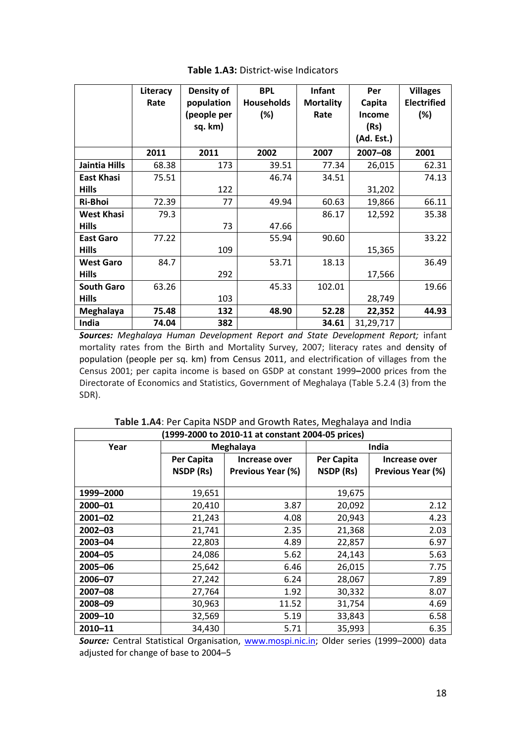|                   | Literacy<br>Rate | Density of<br>population<br>(people per<br>sq. km) | <b>BPL</b><br><b>Households</b><br>(%) | <b>Infant</b><br><b>Mortality</b><br>Rate | Per<br>Capita<br><b>Income</b><br>(Rs)<br>(Ad. Est.) | <b>Villages</b><br><b>Electrified</b><br>$(\%)$ |
|-------------------|------------------|----------------------------------------------------|----------------------------------------|-------------------------------------------|------------------------------------------------------|-------------------------------------------------|
|                   | 2011             | 2011                                               | 2002                                   | 2007                                      | 2007-08                                              | 2001                                            |
| Jaintia Hills     | 68.38            | 173                                                | 39.51                                  | 77.34                                     | 26,015                                               | 62.31                                           |
| <b>East Khasi</b> | 75.51            |                                                    | 46.74                                  | 34.51                                     |                                                      | 74.13                                           |
| <b>Hills</b>      |                  | 122                                                |                                        |                                           | 31,202                                               |                                                 |
| Ri-Bhoi           | 72.39            | 77                                                 | 49.94                                  | 60.63                                     | 19,866                                               | 66.11                                           |
| <b>West Khasi</b> | 79.3             |                                                    |                                        | 86.17                                     | 12,592                                               | 35.38                                           |
| <b>Hills</b>      |                  | 73                                                 | 47.66                                  |                                           |                                                      |                                                 |
| <b>East Garo</b>  | 77.22            |                                                    | 55.94                                  | 90.60                                     |                                                      | 33.22                                           |
| <b>Hills</b>      |                  | 109                                                |                                        |                                           | 15,365                                               |                                                 |
| <b>West Garo</b>  | 84.7             |                                                    | 53.71                                  | 18.13                                     |                                                      | 36.49                                           |
| <b>Hills</b>      |                  | 292                                                |                                        |                                           | 17,566                                               |                                                 |
| <b>South Garo</b> | 63.26            |                                                    | 45.33                                  | 102.01                                    |                                                      | 19.66                                           |
| <b>Hills</b>      |                  | 103                                                |                                        |                                           | 28,749                                               |                                                 |
| Meghalaya         | 75.48            | 132                                                | 48.90                                  | 52.28                                     | 22,352                                               | 44.93                                           |
| India             | 74.04            | 382                                                |                                        | 34.61                                     | 31,29,717                                            |                                                 |

### **Table 1.A3:** District-wise Indicators

*Sources: Meghalaya Human Development Report and State Development Report;* infant mortality rates from the Birth and Mortality Survey, 2007; literacy rates and density of population (people per sq. km) from Census 2011, and electrification of villages from the Census 2001; per capita income is based on GSDP at constant 1999**–**2000 prices from the Directorate of Economics and Statistics, Government of Meghalaya (Table 5.2.4 (3) from the SDR).

| (1999-2000 to 2010-11 at constant 2004-05 prices) |            |                   |            |                          |
|---------------------------------------------------|------------|-------------------|------------|--------------------------|
| Year                                              |            | Meghalaya         |            | India                    |
|                                                   | Per Capita | Increase over     | Per Capita | Increase over            |
|                                                   | NSDP (Rs)  | Previous Year (%) | NSDP (Rs)  | <b>Previous Year (%)</b> |
|                                                   |            |                   |            |                          |
| 1999-2000                                         | 19,651     |                   | 19,675     |                          |
| 2000-01                                           | 20,410     | 3.87              | 20,092     | 2.12                     |
| $2001 - 02$                                       | 21,243     | 4.08              | 20,943     | 4.23                     |
| $2002 - 03$                                       | 21,741     | 2.35              | 21,368     | 2.03                     |
| 2003-04                                           | 22,803     | 4.89              | 22,857     | 6.97                     |
| 2004-05                                           | 24,086     | 5.62              | 24,143     | 5.63                     |
| 2005-06                                           | 25,642     | 6.46              | 26,015     | 7.75                     |
| 2006-07                                           | 27,242     | 6.24              | 28,067     | 7.89                     |
| $2007 - 08$                                       | 27,764     | 1.92              | 30,332     | 8.07                     |
| 2008-09                                           | 30,963     | 11.52             | 31,754     | 4.69                     |
| 2009-10                                           | 32,569     | 5.19              | 33,843     | 6.58                     |
| 2010-11                                           | 34,430     | 5.71              | 35,993     | 6.35                     |

**Table 1.A4**: Per Capita NSDP and Growth Rates, Meghalaya and India

Source: Central Statistical Organisation, [www.mospi.nic.in;](http://www.mospi.nic.in/) Older series (1999-2000) data adjusted for change of base to 2004–5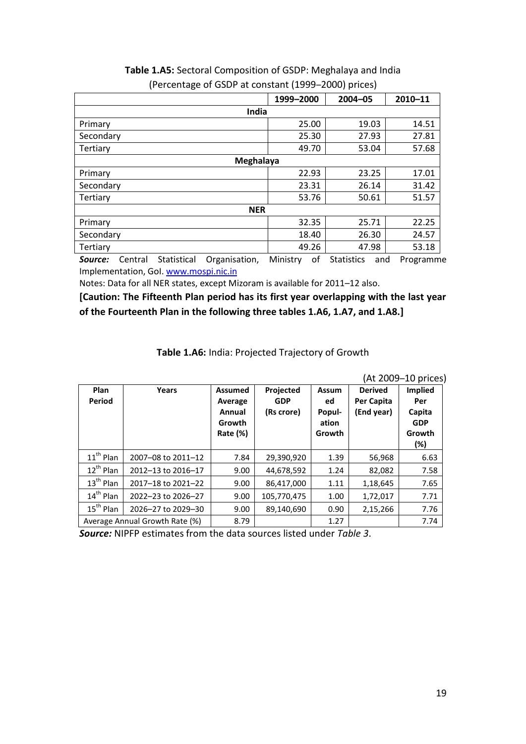|                 | 1999-2000 | 2004-05 | $2010 - 11$ |  |  |
|-----------------|-----------|---------|-------------|--|--|
| India           |           |         |             |  |  |
| Primary         | 25.00     | 19.03   | 14.51       |  |  |
| Secondary       | 25.30     | 27.93   | 27.81       |  |  |
| <b>Tertiary</b> | 49.70     | 53.04   | 57.68       |  |  |
| Meghalaya       |           |         |             |  |  |
| Primary         | 22.93     | 23.25   | 17.01       |  |  |
| Secondary       | 23.31     | 26.14   | 31.42       |  |  |
| Tertiary        | 53.76     | 50.61   | 51.57       |  |  |
| <b>NER</b>      |           |         |             |  |  |
| Primary         | 32.35     | 25.71   | 22.25       |  |  |
| Secondary       | 18.40     | 26.30   | 24.57       |  |  |
| Tertiary        | 49.26     | 47.98   | 53.18       |  |  |

## **Table 1.A5:** Sectoral Composition of GSDP: Meghalaya and India (Percentage of GSDP at constant (1999–2000) prices)

*Source:* Central Statistical Organisation, Ministry of Statistics and Programme Implementation, Gol. [www.mospi.nic.in](http://www.mospi.nic.in/)

Notes: Data for all NER states, except Mizoram is available for 2011–12 also.

**[Caution: The Fifteenth Plan period has its first year overlapping with the last year of the Fourteenth Plan in the following three tables 1.A6, 1.A7, and 1.A8.]**

| Table 1.A6: India: Projected Trajectory of Growth |  |
|---------------------------------------------------|--|
|                                                   |  |

|                       |                                |                |             |              |                | (At 2009–10 prices) |
|-----------------------|--------------------------------|----------------|-------------|--------------|----------------|---------------------|
| Plan                  | Years                          | <b>Assumed</b> | Projected   | <b>Assum</b> | <b>Derived</b> | <b>Implied</b>      |
| Period                |                                | Average        | <b>GDP</b>  | ed           | Per Capita     | Per                 |
|                       |                                | Annual         | (Rs crore)  | Popul-       | (End year)     | Capita              |
|                       |                                | Growth         |             | ation        |                | <b>GDP</b>          |
|                       |                                | Rate $(\%)$    |             | Growth       |                | Growth              |
|                       |                                |                |             |              |                | (%)                 |
| $11^{th}$ Plan        | 2007-08 to 2011-12             | 7.84           | 29,390,920  | 1.39         | 56,968         | 6.63                |
| $12^{th}$ Plan        | 2012-13 to 2016-17             | 9.00           | 44,678,592  | 1.24         | 82,082         | 7.58                |
| $13^{\text{th}}$ Plan | 2017-18 to 2021-22             | 9.00           | 86,417,000  | 1.11         | 1,18,645       | 7.65                |
| $14^{\text{th}}$ Plan | 2022-23 to 2026-27             | 9.00           | 105,770,475 | 1.00         | 1,72,017       | 7.71                |
| $15th$ Plan           | 2026-27 to 2029-30             | 9.00           | 89,140,690  | 0.90         | 2,15,266       | 7.76                |
|                       | Average Annual Growth Rate (%) | 8.79           |             | 1.27         |                | 7.74                |

*Source:* NIPFP estimates from the data sources listed under *Table 3*.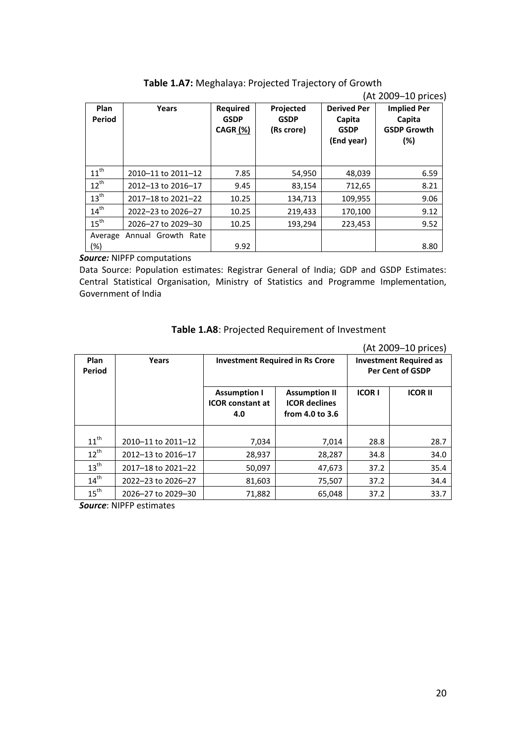|                |                    |                                            |                                        |                                                           | (At 2009–10 prices)                                       |
|----------------|--------------------|--------------------------------------------|----------------------------------------|-----------------------------------------------------------|-----------------------------------------------------------|
| Plan<br>Period | Years              | <b>Required</b><br><b>GSDP</b><br>CAGR (%) | Projected<br><b>GSDP</b><br>(Rs crore) | <b>Derived Per</b><br>Capita<br><b>GSDP</b><br>(End year) | <b>Implied Per</b><br>Capita<br><b>GSDP Growth</b><br>(%) |
| $11^{th}$      | 2010-11 to 2011-12 | 7.85                                       | 54,950                                 | 48,039                                                    | 6.59                                                      |
| $12^{th}$      | 2012-13 to 2016-17 | 9.45                                       | 83,154                                 | 712,65                                                    | 8.21                                                      |
| $13^{th}$      | 2017-18 to 2021-22 | 10.25                                      | 134,713                                | 109,955                                                   | 9.06                                                      |
| $14^{th}$      | 2022-23 to 2026-27 | 10.25                                      | 219,433                                | 170,100                                                   | 9.12                                                      |
| $15^{th}$      | 2026-27 to 2029-30 | 10.25                                      | 193,294                                | 223,453                                                   | 9.52                                                      |
| Average        | Annual Growth Rate |                                            |                                        |                                                           |                                                           |
| (%)            |                    | 9.92                                       |                                        |                                                           | 8.80                                                      |

| Table 1.A7: Meghalaya: Projected Trajectory of Growth |  |  |  |
|-------------------------------------------------------|--|--|--|
|-------------------------------------------------------|--|--|--|

*Source:* NIPFP computations

Data Source: Population estimates: Registrar General of India; GDP and GSDP Estimates: Central Statistical Organisation, Ministry of Statistics and Programme Implementation, Government of India

|                  |                    |                                                |                                              |              | (At 2009–10 prices)                                      |
|------------------|--------------------|------------------------------------------------|----------------------------------------------|--------------|----------------------------------------------------------|
| Plan<br>Period   | Years              |                                                | <b>Investment Required in Rs Crore</b>       |              | <b>Investment Required as</b><br><b>Per Cent of GSDP</b> |
|                  |                    |                                                |                                              |              |                                                          |
|                  |                    | <b>Assumption I</b><br><b>ICOR constant at</b> | <b>Assumption II</b><br><b>ICOR declines</b> | <b>ICORI</b> | <b>ICOR II</b>                                           |
|                  |                    | 4.0                                            | from 4.0 to 3.6                              |              |                                                          |
|                  |                    |                                                |                                              |              |                                                          |
| $11^{\text{th}}$ | 2010-11 to 2011-12 | 7,034                                          | 7,014                                        | 28.8         | 28.7                                                     |
| $12^{th}$        | 2012-13 to 2016-17 | 28,937                                         | 28,287                                       | 34.8         | 34.0                                                     |
| $13^{\text{th}}$ | 2017-18 to 2021-22 | 50,097                                         | 47,673                                       | 37.2         | 35.4                                                     |
| $14^{th}$        | 2022-23 to 2026-27 | 81,603                                         | 75,507                                       | 37.2         | 34.4                                                     |
| $15^{\text{th}}$ | 2026–27 to 2029–30 | 71,882                                         | 65,048                                       | 37.2         | 33.7                                                     |

**Table 1.A8**: Projected Requirement of Investment

*Source*: NIPFP estimates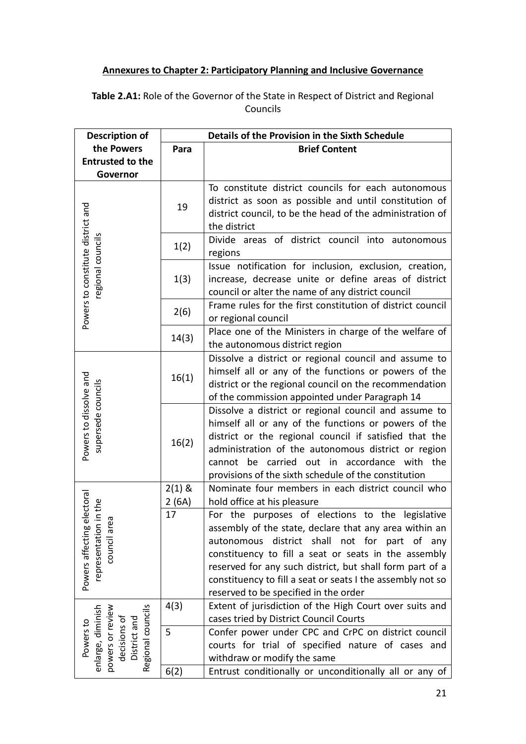# **Annexures to Chapter 2: Participatory Planning and Inclusive Governance**

**Table 2.A1:** Role of the Governor of the State in Respect of District and Regional Councils

| <b>Description of</b>                                      | Details of the Provision in the Sixth Schedule |                                                            |  |  |
|------------------------------------------------------------|------------------------------------------------|------------------------------------------------------------|--|--|
| the Powers                                                 | <b>Brief Content</b><br>Para                   |                                                            |  |  |
| <b>Entrusted to the</b>                                    |                                                |                                                            |  |  |
| Governor                                                   |                                                |                                                            |  |  |
|                                                            |                                                | To constitute district councils for each autonomous        |  |  |
|                                                            |                                                | district as soon as possible and until constitution of     |  |  |
|                                                            | 19                                             | district council, to be the head of the administration of  |  |  |
|                                                            |                                                | the district                                               |  |  |
|                                                            |                                                | Divide areas of district council into autonomous           |  |  |
| Powers to constitute district and<br>regional councils     | 1(2)                                           | regions                                                    |  |  |
|                                                            |                                                | Issue notification for inclusion, exclusion, creation,     |  |  |
|                                                            | 1(3)                                           | increase, decrease unite or define areas of district       |  |  |
|                                                            |                                                | council or alter the name of any district council          |  |  |
|                                                            |                                                | Frame rules for the first constitution of district council |  |  |
|                                                            | 2(6)                                           | or regional council                                        |  |  |
|                                                            | 14(3)                                          | Place one of the Ministers in charge of the welfare of     |  |  |
|                                                            |                                                | the autonomous district region                             |  |  |
|                                                            |                                                | Dissolve a district or regional council and assume to      |  |  |
| Powers to dissolve and<br>supersede councils               | 16(1)                                          | himself all or any of the functions or powers of the       |  |  |
|                                                            |                                                | district or the regional council on the recommendation     |  |  |
|                                                            |                                                | of the commission appointed under Paragraph 14             |  |  |
|                                                            | 16(2)                                          | Dissolve a district or regional council and assume to      |  |  |
|                                                            |                                                | himself all or any of the functions or powers of the       |  |  |
|                                                            |                                                | district or the regional council if satisfied that the     |  |  |
|                                                            |                                                | administration of the autonomous district or region        |  |  |
|                                                            |                                                | cannot be carried out in accordance with the               |  |  |
|                                                            |                                                | provisions of the sixth schedule of the constitution       |  |  |
|                                                            | $2(1)$ &                                       | Nominate four members in each district council who         |  |  |
| electoral                                                  | 2(6A)                                          | hold office at his pleasure                                |  |  |
| in the<br>Θã                                               | 17                                             | For the purposes of elections to the legislative           |  |  |
|                                                            |                                                | assembly of the state, declare that any area within an     |  |  |
|                                                            |                                                | autonomous district shall not for part of<br>any           |  |  |
| Powers affecting<br>representatio<br>council a             |                                                | constituency to fill a seat or seats in the assembly       |  |  |
|                                                            |                                                | reserved for any such district, but shall form part of a   |  |  |
|                                                            |                                                | constituency to fill a seat or seats I the assembly not so |  |  |
|                                                            |                                                | reserved to be specified in the order                      |  |  |
|                                                            | 4(3)                                           | Extent of jurisdiction of the High Court over suits and    |  |  |
| Regional councils<br>enlarge, diminish<br>powers or review |                                                | cases tried by District Council Courts                     |  |  |
| decisions of<br>District and<br>Powers to                  | 5                                              | Confer power under CPC and CrPC on district council        |  |  |
|                                                            |                                                | courts for trial of specified nature of cases and          |  |  |
|                                                            |                                                | withdraw or modify the same                                |  |  |
|                                                            | 6(2)                                           | Entrust conditionally or unconditionally all or any of     |  |  |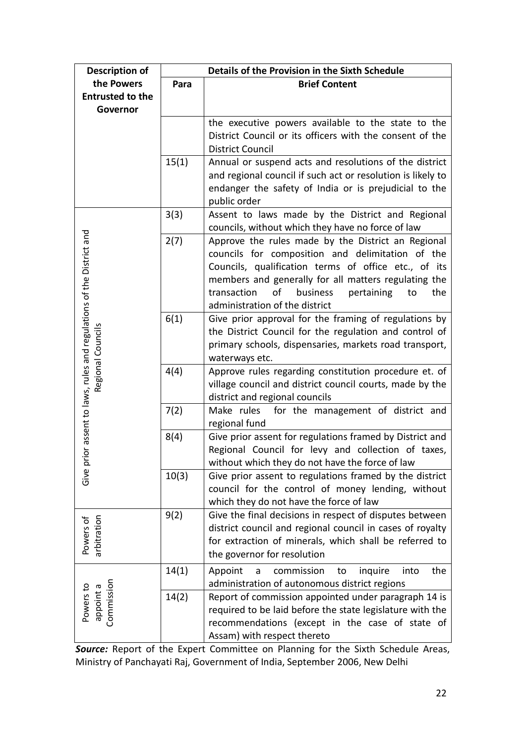| <b>Description of</b>                                          | Details of the Provision in the Sixth Schedule |                                                                                    |  |
|----------------------------------------------------------------|------------------------------------------------|------------------------------------------------------------------------------------|--|
| the Powers                                                     | Para                                           | <b>Brief Content</b>                                                               |  |
| <b>Entrusted to the</b>                                        |                                                |                                                                                    |  |
| Governor                                                       |                                                |                                                                                    |  |
|                                                                |                                                | the executive powers available to the state to the                                 |  |
|                                                                |                                                | District Council or its officers with the consent of the                           |  |
|                                                                |                                                | <b>District Council</b>                                                            |  |
|                                                                | 15(1)                                          | Annual or suspend acts and resolutions of the district                             |  |
|                                                                |                                                | and regional council if such act or resolution is likely to                        |  |
|                                                                |                                                | endanger the safety of India or is prejudicial to the                              |  |
|                                                                |                                                | public order                                                                       |  |
|                                                                | 3(3)                                           | Assent to laws made by the District and Regional                                   |  |
|                                                                |                                                | councils, without which they have no force of law                                  |  |
|                                                                | 2(7)                                           | Approve the rules made by the District an Regional                                 |  |
|                                                                |                                                | councils for composition and delimitation of the                                   |  |
|                                                                |                                                | Councils, qualification terms of office etc., of its                               |  |
|                                                                |                                                | members and generally for all matters regulating the                               |  |
|                                                                |                                                | of<br>business<br>transaction<br>pertaining<br>the<br>to                           |  |
|                                                                |                                                | administration of the district                                                     |  |
|                                                                | 6(1)                                           | Give prior approval for the framing of regulations by                              |  |
|                                                                |                                                | the District Council for the regulation and control of                             |  |
|                                                                |                                                | primary schools, dispensaries, markets road transport,                             |  |
| Regional Councils                                              |                                                | waterways etc.                                                                     |  |
|                                                                | 4(4)                                           | Approve rules regarding constitution procedure et. of                              |  |
|                                                                |                                                | village council and district council courts, made by the                           |  |
| rior assent to laws, rules and regulations of the District and | 7(2)                                           | district and regional councils<br>for the management of district and<br>Make rules |  |
|                                                                |                                                | regional fund                                                                      |  |
|                                                                | 8(4)                                           | Give prior assent for regulations framed by District and                           |  |
|                                                                |                                                | Regional Council for levy and collection of taxes,                                 |  |
|                                                                |                                                | without which they do not have the force of law                                    |  |
| Give pr                                                        | 10(3)                                          | Give prior assent to regulations framed by the district                            |  |
|                                                                |                                                | council for the control of money lending, without                                  |  |
|                                                                |                                                | which they do not have the force of law                                            |  |
|                                                                | 9(2)                                           | Give the final decisions in respect of disputes between                            |  |
| Powers of<br>arbitration                                       |                                                | district council and regional council in cases of royalty                          |  |
|                                                                |                                                | for extraction of minerals, which shall be referred to                             |  |
|                                                                |                                                | the governor for resolution                                                        |  |
|                                                                | 14(1)                                          | commission<br>inquire<br>the<br>Appoint<br>into<br>to<br>a                         |  |
|                                                                |                                                | administration of autonomous district regions                                      |  |
| Commission<br>Powers to<br>appoint a                           | 14(2)                                          | Report of commission appointed under paragraph 14 is                               |  |
|                                                                |                                                | required to be laid before the state legislature with the                          |  |
|                                                                |                                                | recommendations (except in the case of state of                                    |  |
|                                                                |                                                | Assam) with respect thereto                                                        |  |

*Source:* Report of the Expert Committee on Planning for the Sixth Schedule Areas, Ministry of Panchayati Raj, Government of India, September 2006, New Delhi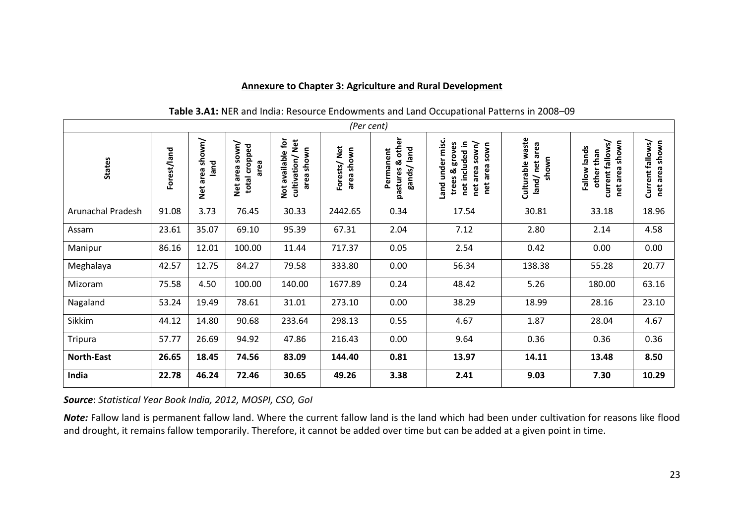#### **Annexure to Chapter 3: Agriculture and Rural Development**

| (Per cent)               |             |                                      |                                            |                                                     |                           |                                                    |                                                                                                         |                                            |                                                                        |                                          |
|--------------------------|-------------|--------------------------------------|--------------------------------------------|-----------------------------------------------------|---------------------------|----------------------------------------------------|---------------------------------------------------------------------------------------------------------|--------------------------------------------|------------------------------------------------------------------------|------------------------------------------|
| <b>States</b>            | Forest/land | shown/<br>buel<br>area<br><b>Net</b> | sown/<br>total cropped<br>area<br>Net area | available for<br>cultivation/Net<br>area shown<br>ă | Forests/Net<br>area shown | other<br>gands/land<br>Permanent<br>න්<br>pastures | misc.<br>not included in<br>trees & groves<br>sown/<br>sown<br>Land under<br>area<br>area<br>net<br>net | Culturable waste<br>land/net area<br>shown | shown<br>current fallows/<br>Fallow lands<br>other than<br>area<br>net | Current fallows/<br>shown<br>area<br>net |
| <b>Arunachal Pradesh</b> | 91.08       | 3.73                                 | 76.45                                      | 30.33                                               | 2442.65                   | 0.34                                               | 17.54                                                                                                   | 30.81                                      | 33.18                                                                  | 18.96                                    |
| Assam                    | 23.61       | 35.07                                | 69.10                                      | 95.39                                               | 67.31                     | 2.04                                               | 7.12                                                                                                    | 2.80                                       | 2.14                                                                   | 4.58                                     |
| Manipur                  | 86.16       | 12.01                                | 100.00                                     | 11.44                                               | 717.37                    | 0.05                                               | 2.54                                                                                                    | 0.42                                       | 0.00                                                                   | 0.00                                     |
| Meghalaya                | 42.57       | 12.75                                | 84.27                                      | 79.58                                               | 333.80                    | 0.00                                               | 56.34                                                                                                   | 138.38                                     | 55.28                                                                  | 20.77                                    |
| Mizoram                  | 75.58       | 4.50                                 | 100.00                                     | 140.00                                              | 1677.89                   | 0.24                                               | 48.42                                                                                                   | 5.26                                       | 180.00                                                                 | 63.16                                    |
| Nagaland                 | 53.24       | 19.49                                | 78.61                                      | 31.01                                               | 273.10                    | 0.00                                               | 38.29                                                                                                   | 18.99                                      | 28.16                                                                  | 23.10                                    |
| Sikkim                   | 44.12       | 14.80                                | 90.68                                      | 233.64                                              | 298.13                    | 0.55                                               | 4.67                                                                                                    | 1.87                                       | 28.04                                                                  | 4.67                                     |
| Tripura                  | 57.77       | 26.69                                | 94.92                                      | 47.86                                               | 216.43                    | 0.00                                               | 9.64                                                                                                    | 0.36                                       | 0.36                                                                   | 0.36                                     |
| <b>North-East</b>        | 26.65       | 18.45                                | 74.56                                      | 83.09                                               | 144.40                    | 0.81                                               | 13.97                                                                                                   | 14.11                                      | 13.48                                                                  | 8.50                                     |
| India                    | 22.78       | 46.24                                | 72.46                                      | 30.65                                               | 49.26                     | 3.38                                               | 2.41                                                                                                    | 9.03                                       | 7.30                                                                   | 10.29                                    |

# **Table 3.A1:** NER and India: Resource Endowments and Land Occupational Patterns in 2008–09

*Source*: *Statistical Year Book India, 2012, MOSPI, CSO, GoI*

*Note:* Fallow land is permanent fallow land. Where the current fallow land is the land which had been under cultivation for reasons like flood and drought, it remains fallow temporarily. Therefore, it cannot be added over time but can be added at a given point in time.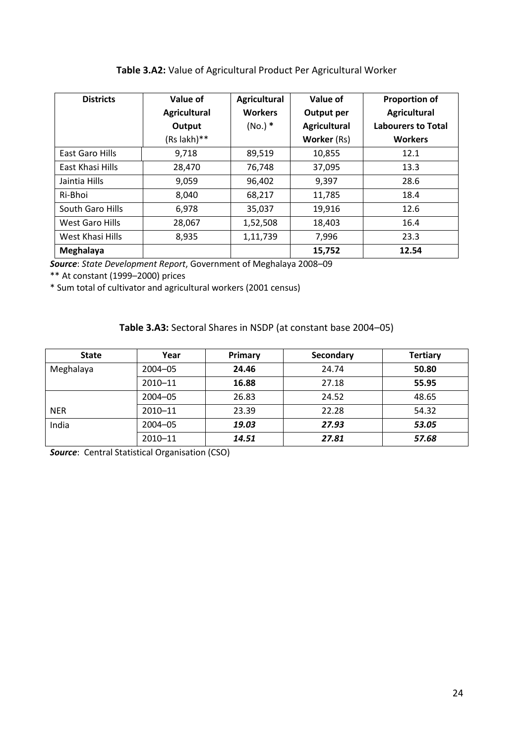# **Table 3.A2:** Value of Agricultural Product Per Agricultural Worker

| <b>Districts</b> | Value of            | <b>Agricultural</b> | Value of            | <b>Proportion of</b>      |
|------------------|---------------------|---------------------|---------------------|---------------------------|
|                  | <b>Agricultural</b> | <b>Workers</b>      | Output per          | <b>Agricultural</b>       |
|                  | Output              | $(No.)$ *           | <b>Agricultural</b> | <b>Labourers to Total</b> |
|                  | (Rs lakh)**         |                     | <b>Worker (Rs)</b>  | <b>Workers</b>            |
| East Garo Hills  | 9,718               | 89,519              | 10,855              | 12.1                      |
| East Khasi Hills | 28,470              | 76,748              | 37,095              | 13.3                      |
| Jaintia Hills    | 9,059               | 96,402              | 9,397               | 28.6                      |
| Ri-Bhoi          | 8,040               | 68,217              | 11,785              | 18.4                      |
| South Garo Hills | 6,978               | 35,037              | 19,916              | 12.6                      |
| West Garo Hills  | 28,067              | 1,52,508            | 18,403              | 16.4                      |
| West Khasi Hills | 8,935               | 1,11,739            | 7,996               | 23.3                      |
| Meghalaya        |                     |                     | 15,752              | 12.54                     |

*Source*: *State Development Report*, Government of Meghalaya 2008–09

\*\* At constant (1999–2000) prices

\* Sum total of cultivator and agricultural workers (2001 census)

# **Table 3.A3:** Sectoral Shares in NSDP (at constant base 2004–05)

| <b>State</b> | Year        | Primary | Secondary | <b>Tertiary</b> |
|--------------|-------------|---------|-----------|-----------------|
| Meghalaya    | $2004 - 05$ | 24.46   | 24.74     | 50.80           |
|              | $2010 - 11$ | 16.88   | 27.18     | 55.95           |
|              | $2004 - 05$ | 26.83   | 24.52     | 48.65           |
| <b>NER</b>   | $2010 - 11$ | 23.39   | 22.28     | 54.32           |
| India        | $2004 - 05$ | 19.03   | 27.93     | 53.05           |
|              | 2010-11     | 14.51   | 27.81     | 57.68           |

**Source:** Central Statistical Organisation (CSO)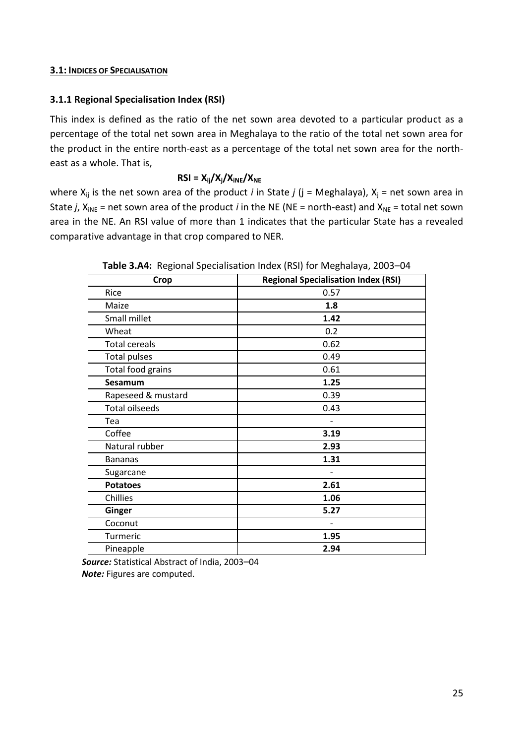### **3.1: INDICES OF SPECIALISATION**

# **3.1.1 Regional Specialisation Index (RSI)**

This index is defined as the ratio of the net sown area devoted to a particular product as a percentage of the total net sown area in Meghalaya to the ratio of the total net sown area for the product in the entire north-east as a percentage of the total net sown area for the northeast as a whole. That is,

# $RSI = X_{ij}/X_{j}/X_{iNE}/X_{NE}$

where  $X_{ij}$  is the net sown area of the product *i* in State *j* (j = Meghalaya),  $X_j$  = net sown area in State *j*,  $X_{iNE}$  = net sown area of the product *i* in the NE (NE = north-east) and  $X_{NE}$  = total net sown area in the NE. An RSI value of more than 1 indicates that the particular State has a revealed comparative advantage in that crop compared to NER.

| <b>Crop</b>           | <b>Regional Specialisation Index (RSI)</b> |
|-----------------------|--------------------------------------------|
| Rice                  | 0.57                                       |
| Maize                 | 1.8                                        |
| Small millet          | 1.42                                       |
| Wheat                 | 0.2                                        |
| <b>Total cereals</b>  | 0.62                                       |
| <b>Total pulses</b>   | 0.49                                       |
| Total food grains     | 0.61                                       |
| Sesamum               | 1.25                                       |
| Rapeseed & mustard    | 0.39                                       |
| <b>Total oilseeds</b> | 0.43                                       |
| Tea                   |                                            |
| Coffee                | 3.19                                       |
| Natural rubber        | 2.93                                       |
| <b>Bananas</b>        | 1.31                                       |
| Sugarcane             |                                            |
| <b>Potatoes</b>       | 2.61                                       |
| Chillies              | 1.06                                       |
| Ginger                | 5.27                                       |
| Coconut               |                                            |
| Turmeric              | 1.95                                       |
| Pineapple             | 2.94                                       |

**Table 3.A4:** Regional Specialisation Index (RSI) for Meghalaya, 2003–04

*Source:* Statistical Abstract of India, 2003–04 *Note:* Figures are computed.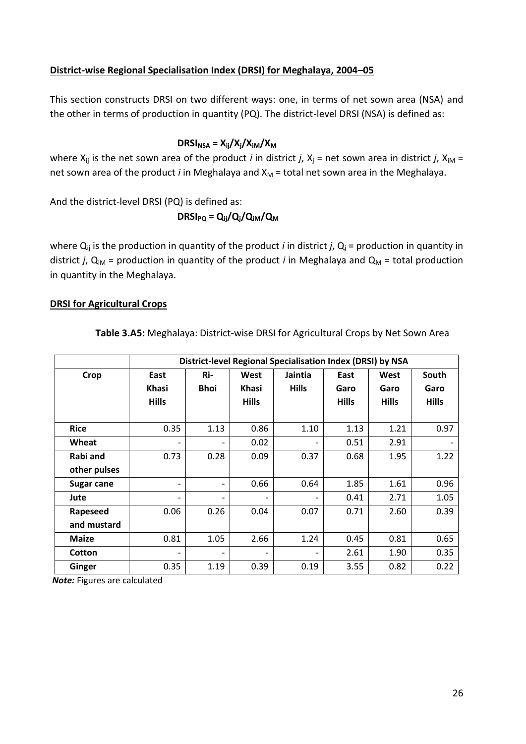## **District-wise Regional Specialisation Index (DRSI) for Meghalaya, 2004–05**

This section constructs DRSI on two different ways: one, in terms of net sown area (NSA) and the other in terms of production in quantity (PQ). The district-level DRSI (NSA) is defined as:

## $DRSI_{NSA} = X_{ii}/X_{i}/X_{iM}/X_{M}$

where  $X_{ij}$  is the net sown area of the product *i* in district *j*,  $X_j$  = net sown area in district *j*,  $X_{iM}$  = net sown area of the product *i* in Meghalaya and X<sub>M</sub> = total net sown area in the Meghalaya.

And the district-level DRSI (PQ) is defined as:

$$
DRSI_{PQ} = Q_{ij}/Q_j/Q_{iM}/Q_M
$$

where  $Q_{ij}$  is the production in quantity of the product *i* in district *j*,  $Q_i$  = production in quantity in district *j*,  $Q_{iM}$  = production in quantity of the product *i* in Meghalaya and  $Q_M$  = total production in quantity in the Meghalaya.

### **DRSI for Agricultural Crops**

| Table 3.A5: Meghalaya: District-wise DRSI for Agricultural Crops by Net Sown Area |  |  |  |
|-----------------------------------------------------------------------------------|--|--|--|
|-----------------------------------------------------------------------------------|--|--|--|

|                   | District-level Regional Specialisation Index (DRSI) by NSA |                              |              |                 |              |              |              |  |
|-------------------|------------------------------------------------------------|------------------------------|--------------|-----------------|--------------|--------------|--------------|--|
| Crop              | East                                                       | Ri-                          | West         | Jaintia         | East         | West         | South        |  |
|                   | <b>Khasi</b>                                               | <b>Bhoi</b>                  | <b>Khasi</b> | <b>Hills</b>    | Garo         | Garo         | Garo         |  |
|                   | <b>Hills</b>                                               |                              | <b>Hills</b> |                 | <b>Hills</b> | <b>Hills</b> | <b>Hills</b> |  |
|                   |                                                            |                              |              |                 |              |              |              |  |
| <b>Rice</b>       | 0.35                                                       | 1.13                         | 0.86         | 1.10            | 1.13         | 1.21         | 0.97         |  |
| Wheat             | $\qquad \qquad \blacksquare$                               |                              | 0.02         |                 | 0.51         | 2.91         |              |  |
| Rabi and          | 0.73                                                       | 0.28                         | 0.09         | 0.37            | 0.68         | 1.95         | 1.22         |  |
| other pulses      |                                                            |                              |              |                 |              |              |              |  |
| <b>Sugar cane</b> | $\qquad \qquad -$                                          | $\overline{\phantom{0}}$     | 0.66         | 0.64            | 1.85         | 1.61         | 0.96         |  |
| Jute              | $\qquad \qquad \blacksquare$                               | $\qquad \qquad \blacksquare$ | -            |                 | 0.41         | 2.71         | 1.05         |  |
| Rapeseed          | 0.06                                                       | 0.26                         | 0.04         | 0.07            | 0.71         | 2.60         | 0.39         |  |
| and mustard       |                                                            |                              |              |                 |              |              |              |  |
| <b>Maize</b>      | 0.81                                                       | 1.05                         | 2.66         | 1.24            | 0.45         | 0.81         | 0.65         |  |
| Cotton            | $\qquad \qquad$                                            | $\qquad \qquad \blacksquare$ | -            | $\qquad \qquad$ | 2.61         | 1.90         | 0.35         |  |
| Ginger            | 0.35                                                       | 1.19                         | 0.39         | 0.19            | 3.55         | 0.82         | 0.22         |  |

*Note:* Figures are calculated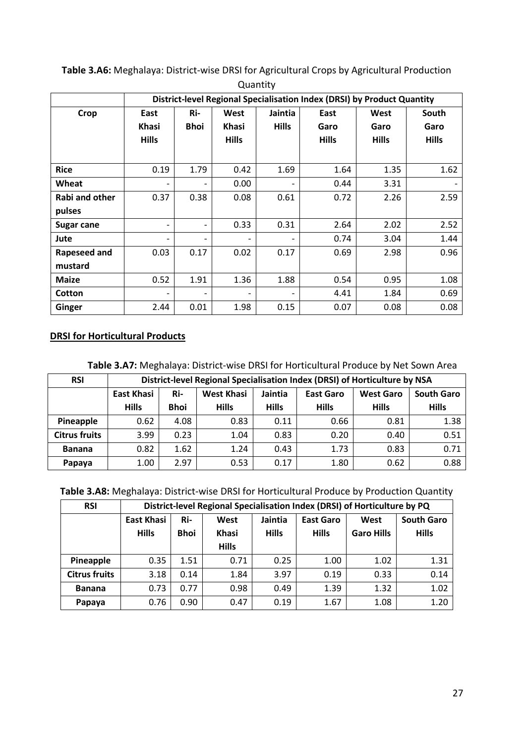|                |                                                                         |                          |              | --------     |              |              |              |
|----------------|-------------------------------------------------------------------------|--------------------------|--------------|--------------|--------------|--------------|--------------|
|                | District-level Regional Specialisation Index (DRSI) by Product Quantity |                          |              |              |              |              |              |
| Crop           | East                                                                    | Ri-                      | West         | Jaintia      | East         | West         | South        |
|                | <b>Khasi</b>                                                            | <b>Bhoi</b>              | <b>Khasi</b> | <b>Hills</b> | Garo         | Garo         | Garo         |
|                | <b>Hills</b>                                                            |                          | <b>Hills</b> |              | <b>Hills</b> | <b>Hills</b> | <b>Hills</b> |
|                |                                                                         |                          |              |              |              |              |              |
| <b>Rice</b>    | 0.19                                                                    | 1.79                     | 0.42         | 1.69         | 1.64         | 1.35         | 1.62         |
| Wheat          |                                                                         | $\overline{\phantom{0}}$ | 0.00         |              | 0.44         | 3.31         |              |
| Rabi and other | 0.37                                                                    | 0.38                     | 0.08         | 0.61         | 0.72         | 2.26         | 2.59         |
| pulses         |                                                                         |                          |              |              |              |              |              |
| Sugar cane     | $\overline{\phantom{a}}$                                                | $\overline{\phantom{0}}$ | 0.33         | 0.31         | 2.64         | 2.02         | 2.52         |
| Jute           |                                                                         | $\overline{\phantom{0}}$ |              |              | 0.74         | 3.04         | 1.44         |
| Rapeseed and   | 0.03                                                                    | 0.17                     | 0.02         | 0.17         | 0.69         | 2.98         | 0.96         |
| mustard        |                                                                         |                          |              |              |              |              |              |
| <b>Maize</b>   | 0.52                                                                    | 1.91                     | 1.36         | 1.88         | 0.54         | 0.95         | 1.08         |
| Cotton         |                                                                         | -                        | -            |              | 4.41         | 1.84         | 0.69         |
| Ginger         | 2.44                                                                    | 0.01                     | 1.98         | 0.15         | 0.07         | 0.08         | 0.08         |

**Table 3.A6:** Meghalaya: District-wise DRSI for Agricultural Crops by Agricultural Production Quantity

# **DRSI for Horticultural Products**

**Table 3.A7:** Meghalaya: District-wise DRSI for Horticultural Produce by Net Sown Area

| <b>RSI</b>           |                   | District-level Regional Specialisation Index (DRSI) of Horticulture by NSA |                   |              |                  |                  |                   |  |  |
|----------------------|-------------------|----------------------------------------------------------------------------|-------------------|--------------|------------------|------------------|-------------------|--|--|
|                      | <b>East Khasi</b> | Ri-                                                                        | <b>West Khasi</b> | Jaintia      | <b>East Garo</b> | <b>West Garo</b> | <b>South Garo</b> |  |  |
|                      | <b>Hills</b>      | <b>Bhoi</b>                                                                | <b>Hills</b>      | <b>Hills</b> | <b>Hills</b>     | <b>Hills</b>     | <b>Hills</b>      |  |  |
| Pineapple            | 0.62              | 4.08                                                                       | 0.83              | 0.11         | 0.66             | 0.81             | 1.38              |  |  |
| <b>Citrus fruits</b> | 3.99              | 0.23                                                                       | 1.04              | 0.83         | 0.20             | 0.40             | 0.51              |  |  |
| <b>Banana</b>        | 0.82              | 1.62                                                                       | 1.24              | 0.43         | 1.73             | 0.83             | 0.71              |  |  |
| Papaya               | 1.00              | 2.97                                                                       | 0.53              | 0.17         | 1.80             | 0.62             | 0.88              |  |  |

**Table 3.A8:** Meghalaya: District-wise DRSI for Horticultural Produce by Production Quantity

| <b>RSI</b>           | District-level Regional Specialisation Index (DRSI) of Horticulture by PQ |             |              |              |                  |                   |                   |  |
|----------------------|---------------------------------------------------------------------------|-------------|--------------|--------------|------------------|-------------------|-------------------|--|
|                      | <b>East Khasi</b>                                                         | Ri-         | West         | Jaintia      | <b>East Garo</b> | West              | <b>South Garo</b> |  |
|                      | <b>Hills</b>                                                              | <b>Bhoi</b> | <b>Khasi</b> | <b>Hills</b> | <b>Hills</b>     | <b>Garo Hills</b> | <b>Hills</b>      |  |
|                      |                                                                           |             | <b>Hills</b> |              |                  |                   |                   |  |
| Pineapple            | 0.35                                                                      | 1.51        | 0.71         | 0.25         | 1.00             | 1.02              | 1.31              |  |
| <b>Citrus fruits</b> | 3.18                                                                      | 0.14        | 1.84         | 3.97         | 0.19             | 0.33              | 0.14              |  |
| <b>Banana</b>        | 0.73                                                                      | 0.77        | 0.98         | 0.49         | 1.39             | 1.32              | 1.02              |  |
| Papaya               | 0.76                                                                      | 0.90        | 0.47         | 0.19         | 1.67             | 1.08              | 1.20              |  |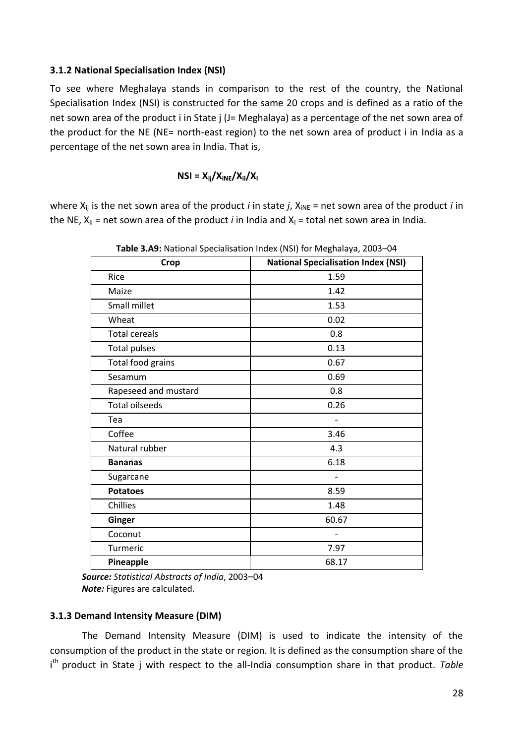### **3.1.2 National Specialisation Index (NSI)**

To see where Meghalaya stands in comparison to the rest of the country, the National Specialisation Index (NSI) is constructed for the same 20 crops and is defined as a ratio of the net sown area of the product i in State j (J= Meghalaya) as a percentage of the net sown area of the product for the NE (NE= north-east region) to the net sown area of product i in India as a percentage of the net sown area in India. That is,

### $NSI = X_{ii}/X_{iNE}/X_{iN}/X_{i}$

where  $X_{ij}$  is the net sown area of the product *i* in state *j*,  $X_{iNE}$  = net sown area of the product *i* in the NE,  $X_{il}$  = net sown area of the product *i* in India and  $X_{il}$  = total net sown area in India.

| Crop                  | <b>National Specialisation Index (NSI)</b> |  |  |  |  |
|-----------------------|--------------------------------------------|--|--|--|--|
| Rice                  | 1.59                                       |  |  |  |  |
| Maize                 | 1.42                                       |  |  |  |  |
| Small millet          | 1.53                                       |  |  |  |  |
| Wheat                 | 0.02                                       |  |  |  |  |
| <b>Total cereals</b>  | 0.8                                        |  |  |  |  |
| <b>Total pulses</b>   | 0.13                                       |  |  |  |  |
| Total food grains     | 0.67                                       |  |  |  |  |
| Sesamum               | 0.69                                       |  |  |  |  |
| Rapeseed and mustard  | 0.8                                        |  |  |  |  |
| <b>Total oilseeds</b> | 0.26                                       |  |  |  |  |
| Tea                   | $\overline{a}$                             |  |  |  |  |
| Coffee                | 3.46                                       |  |  |  |  |
| Natural rubber        | 4.3                                        |  |  |  |  |
| <b>Bananas</b>        | 6.18                                       |  |  |  |  |
| Sugarcane             |                                            |  |  |  |  |
| <b>Potatoes</b>       | 8.59                                       |  |  |  |  |
| Chillies              | 1.48                                       |  |  |  |  |
| Ginger                | 60.67                                      |  |  |  |  |
| Coconut               |                                            |  |  |  |  |
| Turmeric              | 7.97                                       |  |  |  |  |
| Pineapple             | 68.17                                      |  |  |  |  |

**Table 3.A9:** National Specialisation Index (NSI) for Meghalaya, 2003–04

*Source: Statistical Abstracts of India*, 2003–04 *Note:* Figures are calculated.

### **3.1.3 Demand Intensity Measure (DIM)**

The Demand Intensity Measure (DIM) is used to indicate the intensity of the consumption of the product in the state or region. It is defined as the consumption share of the i<sup>th</sup> product in State j with respect to the all-India consumption share in that product. Table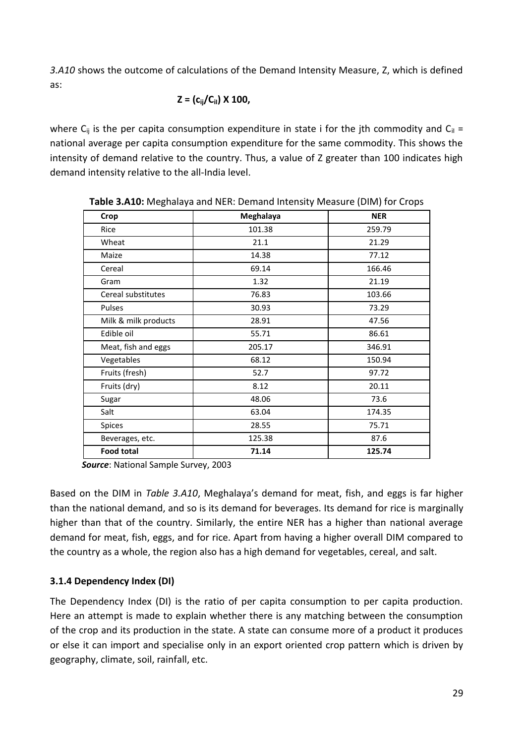*3.A10* shows the outcome of calculations of the Demand Intensity Measure, Z, which is defined as:

$$
Z = (c_{ij}/C_{il}) \times 100,
$$

where  $C_{ii}$  is the per capita consumption expenditure in state i for the jth commodity and  $C_{ii}$  = national average per capita consumption expenditure for the same commodity. This shows the intensity of demand relative to the country. Thus, a value of Z greater than 100 indicates high demand intensity relative to the all-India level.

| Crop                 | Meghalaya | <b>NER</b> |
|----------------------|-----------|------------|
| Rice                 | 101.38    | 259.79     |
| Wheat                | 21.1      | 21.29      |
| Maize                | 14.38     | 77.12      |
| Cereal               | 69.14     | 166.46     |
| Gram                 | 1.32      | 21.19      |
| Cereal substitutes   | 76.83     | 103.66     |
| Pulses               | 30.93     | 73.29      |
| Milk & milk products | 28.91     | 47.56      |
| Edible oil           | 55.71     | 86.61      |
| Meat, fish and eggs  | 205.17    | 346.91     |
| Vegetables           | 68.12     | 150.94     |
| Fruits (fresh)       | 52.7      | 97.72      |
| Fruits (dry)         | 8.12      | 20.11      |
| Sugar                | 48.06     | 73.6       |
| Salt                 | 63.04     | 174.35     |
| Spices               | 28.55     | 75.71      |
| Beverages, etc.      | 125.38    | 87.6       |
| <b>Food total</b>    | 71.14     | 125.74     |

**Table 3.A10:** Meghalaya and NER: Demand Intensity Measure (DIM) for Crops

*Source*: National Sample Survey, 2003

Based on the DIM in *Table 3.A10*, Meghalaya's demand for meat, fish, and eggs is far higher than the national demand, and so is its demand for beverages. Its demand for rice is marginally higher than that of the country. Similarly, the entire NER has a higher than national average demand for meat, fish, eggs, and for rice. Apart from having a higher overall DIM compared to the country as a whole, the region also has a high demand for vegetables, cereal, and salt.

# **3.1.4 Dependency Index (DI)**

The Dependency Index (DI) is the ratio of per capita consumption to per capita production. Here an attempt is made to explain whether there is any matching between the consumption of the crop and its production in the state. A state can consume more of a product it produces or else it can import and specialise only in an export oriented crop pattern which is driven by geography, climate, soil, rainfall, etc.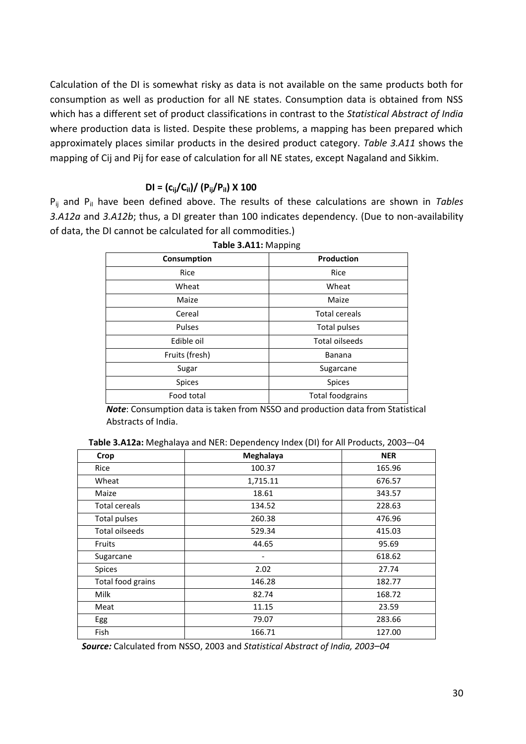Calculation of the DI is somewhat risky as data is not available on the same products both for consumption as well as production for all NE states. Consumption data is obtained from NSS which has a different set of product classifications in contrast to the *Statistical Abstract of India* where production data is listed. Despite these problems, a mapping has been prepared which approximately places similar products in the desired product category. *Table 3.A11* shows the mapping of Cij and Pij for ease of calculation for all NE states, except Nagaland and Sikkim.

## $DI = (c_{ij}/C_{il}) / (P_{ij}/P_{il}) \times 100$

P<sub>ij</sub> and P<sub>il</sub> have been defined above. The results of these calculations are shown in *Tables 3.A12a* and *3.A12b*; thus, a DI greater than 100 indicates dependency. (Due to non-availability of data, the DI cannot be calculated for all commodities.)

| Consumption    | Production           |
|----------------|----------------------|
| Rice           | Rice                 |
| Wheat          | Wheat                |
| Maize          | Maize                |
| Cereal         | <b>Total cereals</b> |
| Pulses         | Total pulses         |
| Edible oil     | Total oilseeds       |
| Fruits (fresh) | <b>Banana</b>        |
| Sugar          | Sugarcane            |
| <b>Spices</b>  | <b>Spices</b>        |
| Food total     | Total foodgrains     |

**Table 3.A11:** Mapping

*Note*: Consumption data is taken from NSSO and production data from Statistical Abstracts of India.

| Table 3.A12a: Meghalaya and NER: Dependency Index (DI) for All Products, 2003--04 |  |
|-----------------------------------------------------------------------------------|--|
|                                                                                   |  |

| Crop                  | Meghalaya                    | <b>NER</b> |
|-----------------------|------------------------------|------------|
| Rice                  | 100.37                       | 165.96     |
| Wheat                 | 1,715.11                     | 676.57     |
| Maize                 | 18.61                        | 343.57     |
| <b>Total cereals</b>  | 134.52                       | 228.63     |
| Total pulses          | 260.38                       | 476.96     |
| <b>Total oilseeds</b> | 529.34                       | 415.03     |
| Fruits                | 44.65                        | 95.69      |
| Sugarcane             | $\qquad \qquad \blacksquare$ | 618.62     |
| <b>Spices</b>         | 2.02                         | 27.74      |
| Total food grains     | 146.28                       | 182.77     |
| Milk                  | 82.74                        | 168.72     |
| Meat                  | 11.15                        | 23.59      |
| Egg                   | 79.07                        | 283.66     |
| <b>Fish</b>           | 166.71                       | 127.00     |

*Source:* Calculated from NSSO, 2003 and *Statistical Abstract of India, 2003*–*04*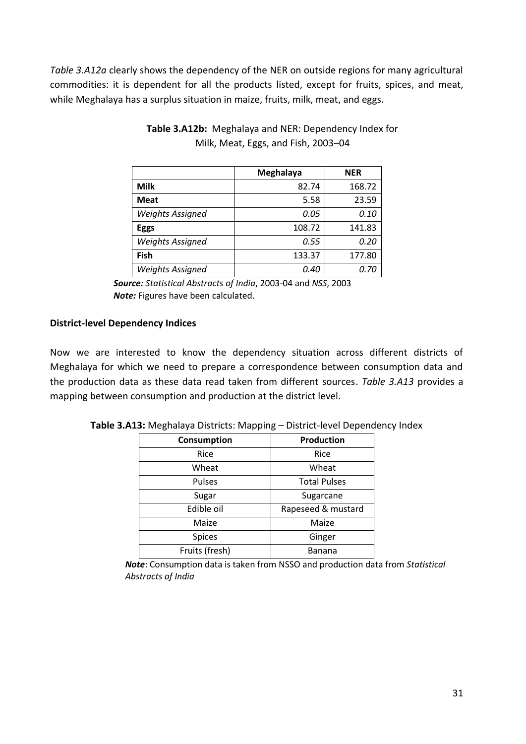*Table 3.A12a* clearly shows the dependency of the NER on outside regions for many agricultural commodities: it is dependent for all the products listed, except for fruits, spices, and meat, while Meghalaya has a surplus situation in maize, fruits, milk, meat, and eggs.

|                         | Meghalaya | <b>NER</b> |
|-------------------------|-----------|------------|
| Milk                    | 82.74     | 168.72     |
| <b>Meat</b>             | 5.58      | 23.59      |
| <b>Weights Assigned</b> | 0.05      | 0.10       |
| <b>Eggs</b>             | 108.72    | 141.83     |
| <b>Weights Assigned</b> | 0.55      | 0.20       |
| Fish                    | 133.37    | 177.80     |
| <b>Weights Assigned</b> | 0.40      | 0.70       |

**Table 3.A12b:** Meghalaya and NER: Dependency Index for Milk, Meat, Eggs, and Fish, 2003–04

*Source: Statistical Abstracts of India*, 2003-04 and *NSS*, 2003 *Note:* Figures have been calculated.

## **District-level Dependency Indices**

Now we are interested to know the dependency situation across different districts of Meghalaya for which we need to prepare a correspondence between consumption data and the production data as these data read taken from different sources. *Table 3.A13* provides a mapping between consumption and production at the district level.

| Consumption    | Production          |
|----------------|---------------------|
| Rice           | Rice                |
| Wheat          | Wheat               |
| Pulses         | <b>Total Pulses</b> |
| Sugar          | Sugarcane           |
| Edible oil     | Rapeseed & mustard  |
| Maize          | Maize               |
| <b>Spices</b>  | Ginger              |
| Fruits (fresh) | Banana              |

**Table 3.A13:** Meghalaya Districts: Mapping – District-level Dependency Index

*Note*: Consumption data is taken from NSSO and production data from *Statistical Abstracts of India*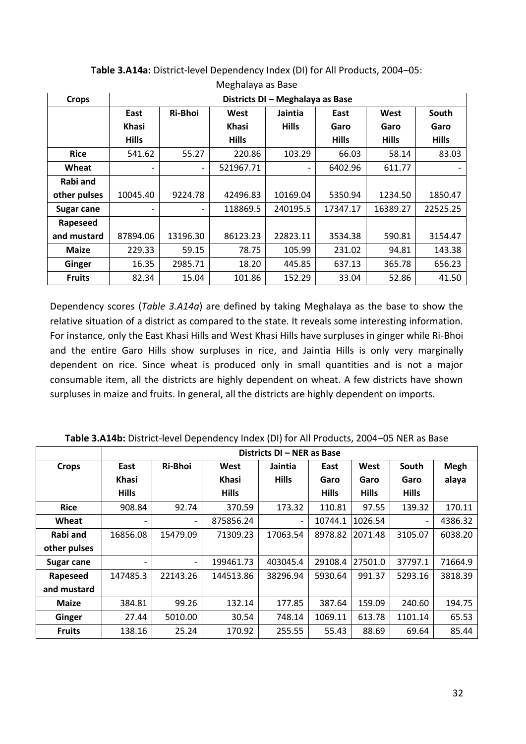| $\cdots$          |              |                                  |              |              |              |              |              |
|-------------------|--------------|----------------------------------|--------------|--------------|--------------|--------------|--------------|
| <b>Crops</b>      |              | Districts DI - Meghalaya as Base |              |              |              |              |              |
|                   | East         | Ri-Bhoi                          | West         | Jaintia      | East         | West         | South        |
|                   | <b>Khasi</b> |                                  | <b>Khasi</b> | <b>Hills</b> | Garo         | Garo         | Garo         |
|                   | <b>Hills</b> |                                  | <b>Hills</b> |              | <b>Hills</b> | <b>Hills</b> | <b>Hills</b> |
| <b>Rice</b>       | 541.62       | 55.27                            | 220.86       | 103.29       | 66.03        | 58.14        | 83.03        |
| Wheat             |              |                                  | 521967.71    |              | 6402.96      | 611.77       |              |
| Rabi and          |              |                                  |              |              |              |              |              |
| other pulses      | 10045.40     | 9224.78                          | 42496.83     | 10169.04     | 5350.94      | 1234.50      | 1850.47      |
| <b>Sugar cane</b> |              |                                  | 118869.5     | 240195.5     | 17347.17     | 16389.27     | 22525.25     |
| Rapeseed          |              |                                  |              |              |              |              |              |
| and mustard       | 87894.06     | 13196.30                         | 86123.23     | 22823.11     | 3534.38      | 590.81       | 3154.47      |
| <b>Maize</b>      | 229.33       | 59.15                            | 78.75        | 105.99       | 231.02       | 94.81        | 143.38       |
| Ginger            | 16.35        | 2985.71                          | 18.20        | 445.85       | 637.13       | 365.78       | 656.23       |
| <b>Fruits</b>     | 82.34        | 15.04                            | 101.86       | 152.29       | 33.04        | 52.86        | 41.50        |

**Table 3.A14a:** District-level Dependency Index (DI) for All Products, 2004–05: Meghalaya as Base

Dependency scores (*Table 3.A14a*) are defined by taking Meghalaya as the base to show the relative situation of a district as compared to the state. It reveals some interesting information. For instance, only the East Khasi Hills and West Khasi Hills have surpluses in ginger while Ri-Bhoi and the entire Garo Hills show surpluses in rice, and Jaintia Hills is only very marginally dependent on rice. Since wheat is produced only in small quantities and is not a major consumable item, all the districts are highly dependent on wheat. A few districts have shown surpluses in maize and fruits. In general, all the districts are highly dependent on imports.

|               | Districts DI - NER as Base |                          |              |              |              |              |                          |             |
|---------------|----------------------------|--------------------------|--------------|--------------|--------------|--------------|--------------------------|-------------|
| <b>Crops</b>  | East                       | <b>Ri-Bhoi</b>           | West         | Jaintia      | East         | West         | South                    | <b>Megh</b> |
|               | <b>Khasi</b>               |                          | <b>Khasi</b> | <b>Hills</b> | Garo         | Garo         | Garo                     | alaya       |
|               | <b>Hills</b>               |                          | <b>Hills</b> |              | <b>Hills</b> | <b>Hills</b> | <b>Hills</b>             |             |
| <b>Rice</b>   | 908.84                     | 92.74                    | 370.59       | 173.32       | 110.81       | 97.55        | 139.32                   | 170.11      |
| Wheat         |                            | $\overline{\phantom{0}}$ | 875856.24    |              | 10744.1      | 1026.54      | $\overline{\phantom{0}}$ | 4386.32     |
| Rabi and      | 16856.08                   | 15479.09                 | 71309.23     | 17063.54     | 8978.82      | 2071.48      | 3105.07                  | 6038.20     |
| other pulses  |                            |                          |              |              |              |              |                          |             |
| Sugar cane    |                            | $\overline{\phantom{a}}$ | 199461.73    | 403045.4     | 29108.4      | 27501.0      | 37797.1                  | 71664.9     |
| Rapeseed      | 147485.3                   | 22143.26                 | 144513.86    | 38296.94     | 5930.64      | 991.37       | 5293.16                  | 3818.39     |
| and mustard   |                            |                          |              |              |              |              |                          |             |
| <b>Maize</b>  | 384.81                     | 99.26                    | 132.14       | 177.85       | 387.64       | 159.09       | 240.60                   | 194.75      |
| Ginger        | 27.44                      | 5010.00                  | 30.54        | 748.14       | 1069.11      | 613.78       | 1101.14                  | 65.53       |
| <b>Fruits</b> | 138.16                     | 25.24                    | 170.92       | 255.55       | 55.43        | 88.69        | 69.64                    | 85.44       |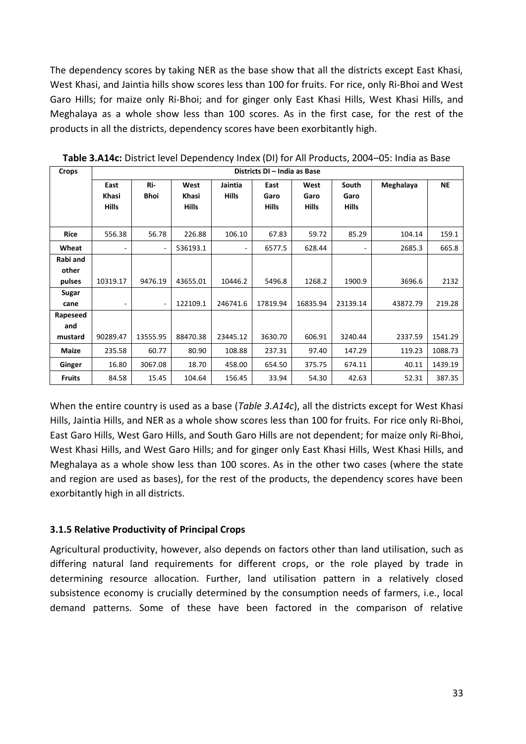The dependency scores by taking NER as the base show that all the districts except East Khasi, West Khasi, and Jaintia hills show scores less than 100 for fruits. For rice, only Ri-Bhoi and West Garo Hills; for maize only Ri-Bhoi; and for ginger only East Khasi Hills, West Khasi Hills, and Meghalaya as a whole show less than 100 scores. As in the first case, for the rest of the products in all the districts, dependency scores have been exorbitantly high.

| Crops         | Districts DI - India as Base |          |              |                          |          |          |              |           |           |
|---------------|------------------------------|----------|--------------|--------------------------|----------|----------|--------------|-----------|-----------|
|               | East                         | Ri-      | West         | Jaintia                  | East     | West     | South        | Meghalaya | <b>NE</b> |
|               | Khasi                        | Bhoi     | Khasi        | <b>Hills</b>             | Garo     | Garo     | Garo         |           |           |
|               | <b>Hills</b>                 |          | <b>Hills</b> |                          | Hills    | Hills    | <b>Hills</b> |           |           |
|               |                              |          |              |                          |          |          |              |           |           |
| Rice          | 556.38                       | 56.78    | 226.88       | 106.10                   | 67.83    | 59.72    | 85.29        | 104.14    | 159.1     |
| Wheat         |                              |          | 536193.1     | $\overline{\phantom{a}}$ | 6577.5   | 628.44   |              | 2685.3    | 665.8     |
| Rabi and      |                              |          |              |                          |          |          |              |           |           |
| other         |                              |          |              |                          |          |          |              |           |           |
| pulses        | 10319.17                     | 9476.19  | 43655.01     | 10446.2                  | 5496.8   | 1268.2   | 1900.9       | 3696.6    | 2132      |
| Sugar         |                              |          |              |                          |          |          |              |           |           |
| cane          |                              | ٠        | 122109.1     | 246741.6                 | 17819.94 | 16835.94 | 23139.14     | 43872.79  | 219.28    |
| Rapeseed      |                              |          |              |                          |          |          |              |           |           |
| and           |                              |          |              |                          |          |          |              |           |           |
| mustard       | 90289.47                     | 13555.95 | 88470.38     | 23445.12                 | 3630.70  | 606.91   | 3240.44      | 2337.59   | 1541.29   |
| Maize         | 235.58                       | 60.77    | 80.90        | 108.88                   | 237.31   | 97.40    | 147.29       | 119.23    | 1088.73   |
| Ginger        | 16.80                        | 3067.08  | 18.70        | 458.00                   | 654.50   | 375.75   | 674.11       | 40.11     | 1439.19   |
| <b>Fruits</b> | 84.58                        | 15.45    | 104.64       | 156.45                   | 33.94    | 54.30    | 42.63        | 52.31     | 387.35    |

**Table 3.A14c:** District level Dependency Index (DI) for All Products, 2004–05: India as Base

When the entire country is used as a base (*Table 3.A14c*), all the districts except for West Khasi Hills, Jaintia Hills, and NER as a whole show scores less than 100 for fruits. For rice only Ri-Bhoi, East Garo Hills, West Garo Hills, and South Garo Hills are not dependent; for maize only Ri-Bhoi, West Khasi Hills, and West Garo Hills; and for ginger only East Khasi Hills, West Khasi Hills, and Meghalaya as a whole show less than 100 scores. As in the other two cases (where the state and region are used as bases), for the rest of the products, the dependency scores have been exorbitantly high in all districts.

## **3.1.5 Relative Productivity of Principal Crops**

Agricultural productivity, however, also depends on factors other than land utilisation, such as differing natural land requirements for different crops, or the role played by trade in determining resource allocation. Further, land utilisation pattern in a relatively closed subsistence economy is crucially determined by the consumption needs of farmers, i.e., local demand patterns. Some of these have been factored in the comparison of relative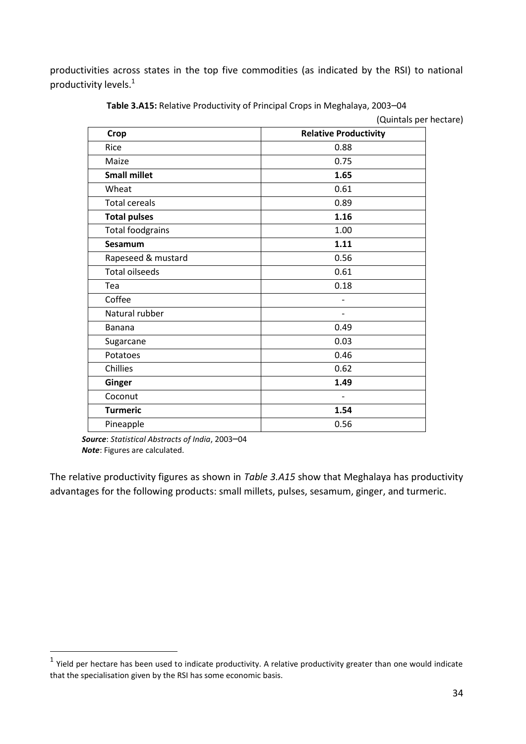productivities across states in the top five commodities (as indicated by the RSI) to national productivity levels.<sup>1</sup>

| Crop                    | <b>Relative Productivity</b> |
|-------------------------|------------------------------|
| Rice                    | 0.88                         |
| Maize                   | 0.75                         |
| <b>Small millet</b>     | 1.65                         |
| Wheat                   | 0.61                         |
| <b>Total cereals</b>    | 0.89                         |
| <b>Total pulses</b>     | 1.16                         |
| <b>Total foodgrains</b> | 1.00                         |
| Sesamum                 | 1.11                         |
| Rapeseed & mustard      | 0.56                         |
| <b>Total oilseeds</b>   | 0.61                         |
| Tea                     | 0.18                         |
| Coffee                  |                              |
| Natural rubber          |                              |
| Banana                  | 0.49                         |
| Sugarcane               | 0.03                         |
| Potatoes                | 0.46                         |
| Chillies                | 0.62                         |
| Ginger                  | 1.49                         |
| Coconut                 |                              |
| <b>Turmeric</b>         | 1.54                         |
| Pineapple               | 0.56                         |

**Table 3.A15:** Relative Productivity of Principal Crops in Meghalaya, 2003–04

(Quintals per hectare)

*Source*: *Statistical Abstracts of India*, 2003–04 *Note*: Figures are calculated.

-

The relative productivity figures as shown in *Table 3.A15* show that Meghalaya has productivity advantages for the following products: small millets, pulses, sesamum, ginger, and turmeric.

 $<sup>1</sup>$  Yield per hectare has been used to indicate productivity. A relative productivity greater than one would indicate</sup> that the specialisation given by the RSI has some economic basis.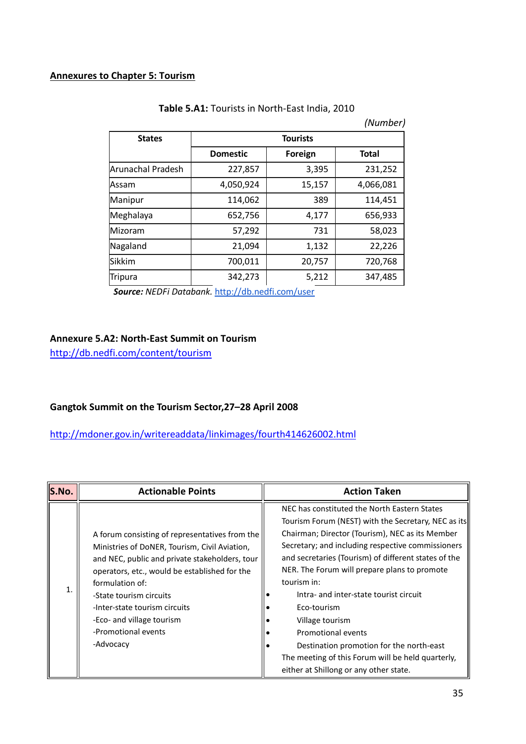|                   |                 |         | (Number)     |  |  |
|-------------------|-----------------|---------|--------------|--|--|
| <b>States</b>     | <b>Tourists</b> |         |              |  |  |
|                   | <b>Domestic</b> | Foreign | <b>Total</b> |  |  |
| Arunachal Pradesh | 227,857         | 3,395   | 231,252      |  |  |
| Assam             | 4,050,924       | 15,157  | 4,066,081    |  |  |
| Manipur           | 114,062         | 389     | 114,451      |  |  |
| Meghalaya         | 652,756         | 4,177   | 656,933      |  |  |
| Mizoram           | 57,292          | 731     | 58,023       |  |  |
| Nagaland          | 21,094          | 1,132   | 22,226       |  |  |
| lSikkim           | 700,011         | 20,757  | 720,768      |  |  |
| Tripura           | 342,273         | 5,212   | 347,485      |  |  |

| Table 5.A1: Tourists in North-East India, 2010 |  |  |
|------------------------------------------------|--|--|
|------------------------------------------------|--|--|

*Source: NEDFi Databank.* <http://db.nedfi.com/user>

### **Annexure 5.A2: North-East Summit on Tourism**

<http://db.nedfi.com/content/tourism>

### **Gangtok Summit on the Tourism Sector,27–28 April 2008**

<http://mdoner.gov.in/writereaddata/linkimages/fourth414626002.html>

| S.No. | <b>Actionable Points</b>                                                                                                                                                                                                                                                                                                                           | <b>Action Taken</b>                                                                                                                                                                                                                                                                                                                                                                                                                                                                                                                                                             |
|-------|----------------------------------------------------------------------------------------------------------------------------------------------------------------------------------------------------------------------------------------------------------------------------------------------------------------------------------------------------|---------------------------------------------------------------------------------------------------------------------------------------------------------------------------------------------------------------------------------------------------------------------------------------------------------------------------------------------------------------------------------------------------------------------------------------------------------------------------------------------------------------------------------------------------------------------------------|
| 1.    | A forum consisting of representatives from the<br>Ministries of DoNER, Tourism, Civil Aviation,<br>and NEC, public and private stakeholders, tour<br>operators, etc., would be established for the<br>formulation of:<br>-State tourism circuits<br>-Inter-state tourism circuits<br>-Eco- and village tourism<br>-Promotional events<br>-Advocacy | NEC has constituted the North Eastern States<br>Tourism Forum (NEST) with the Secretary, NEC as its<br>Chairman; Director (Tourism), NEC as its Member<br>Secretary; and including respective commissioners<br>and secretaries (Tourism) of different states of the<br>NER. The Forum will prepare plans to promote<br>tourism in:<br>Intra- and inter-state tourist circuit<br>Eco-tourism<br>Village tourism<br>Promotional events<br>Destination promotion for the north-east<br>The meeting of this Forum will be held quarterly,<br>either at Shillong or any other state. |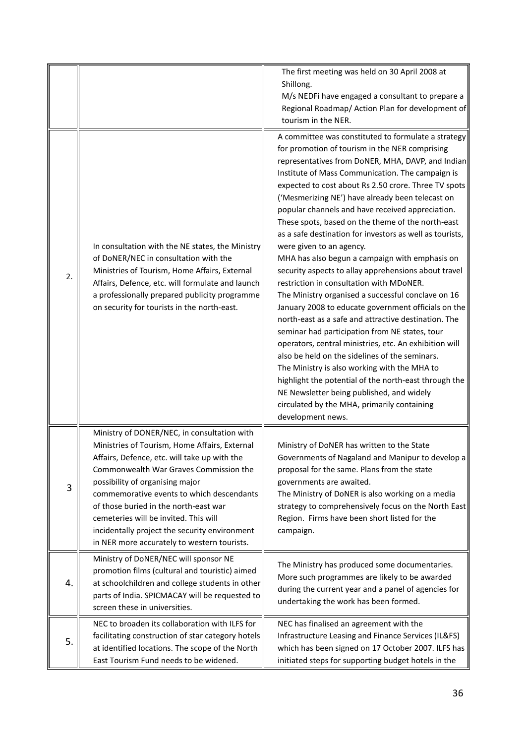|    |                                                                                                                                                                                                                                                                                                                                                                                                                                                          | The first meeting was held on 30 April 2008 at<br>Shillong.<br>M/s NEDFi have engaged a consultant to prepare a<br>Regional Roadmap/ Action Plan for development of<br>tourism in the NER.                                                                                                                                                                                                                                                                                                                                                                                                                                                                                                                                                                                                                                                                                                                                                                                                                                                                                                                                                                                                                                                     |
|----|----------------------------------------------------------------------------------------------------------------------------------------------------------------------------------------------------------------------------------------------------------------------------------------------------------------------------------------------------------------------------------------------------------------------------------------------------------|------------------------------------------------------------------------------------------------------------------------------------------------------------------------------------------------------------------------------------------------------------------------------------------------------------------------------------------------------------------------------------------------------------------------------------------------------------------------------------------------------------------------------------------------------------------------------------------------------------------------------------------------------------------------------------------------------------------------------------------------------------------------------------------------------------------------------------------------------------------------------------------------------------------------------------------------------------------------------------------------------------------------------------------------------------------------------------------------------------------------------------------------------------------------------------------------------------------------------------------------|
| 2. | In consultation with the NE states, the Ministry<br>of DoNER/NEC in consultation with the<br>Ministries of Tourism, Home Affairs, External<br>Affairs, Defence, etc. will formulate and launch<br>a professionally prepared publicity programme<br>on security for tourists in the north-east.                                                                                                                                                           | A committee was constituted to formulate a strategy<br>for promotion of tourism in the NER comprising<br>representatives from DoNER, MHA, DAVP, and Indian<br>Institute of Mass Communication. The campaign is<br>expected to cost about Rs 2.50 crore. Three TV spots<br>('Mesmerizing NE') have already been telecast on<br>popular channels and have received appreciation.<br>These spots, based on the theme of the north-east<br>as a safe destination for investors as well as tourists,<br>were given to an agency.<br>MHA has also begun a campaign with emphasis on<br>security aspects to allay apprehensions about travel<br>restriction in consultation with MDoNER.<br>The Ministry organised a successful conclave on 16<br>January 2008 to educate government officials on the<br>north-east as a safe and attractive destination. The<br>seminar had participation from NE states, tour<br>operators, central ministries, etc. An exhibition will<br>also be held on the sidelines of the seminars.<br>The Ministry is also working with the MHA to<br>highlight the potential of the north-east through the<br>NE Newsletter being published, and widely<br>circulated by the MHA, primarily containing<br>development news. |
| 3  | Ministry of DONER/NEC, in consultation with<br>Ministries of Tourism, Home Affairs, External<br>Affairs, Defence, etc. will take up with the<br>Commonwealth War Graves Commission the<br>possibility of organising major<br>commemorative events to which descendants<br>of those buried in the north-east war<br>cemeteries will be invited. This will<br>incidentally project the security environment<br>in NER more accurately to western tourists. | Ministry of DoNER has written to the State<br>Governments of Nagaland and Manipur to develop a<br>proposal for the same. Plans from the state<br>governments are awaited.<br>The Ministry of DoNER is also working on a media<br>strategy to comprehensively focus on the North East<br>Region. Firms have been short listed for the<br>campaign.                                                                                                                                                                                                                                                                                                                                                                                                                                                                                                                                                                                                                                                                                                                                                                                                                                                                                              |
| 4. | Ministry of DoNER/NEC will sponsor NE<br>promotion films (cultural and touristic) aimed<br>at schoolchildren and college students in other<br>parts of India. SPICMACAY will be requested to<br>screen these in universities.                                                                                                                                                                                                                            | The Ministry has produced some documentaries.<br>More such programmes are likely to be awarded<br>during the current year and a panel of agencies for<br>undertaking the work has been formed.                                                                                                                                                                                                                                                                                                                                                                                                                                                                                                                                                                                                                                                                                                                                                                                                                                                                                                                                                                                                                                                 |
| 5. | NEC to broaden its collaboration with ILFS for<br>facilitating construction of star category hotels<br>at identified locations. The scope of the North<br>East Tourism Fund needs to be widened.                                                                                                                                                                                                                                                         | NEC has finalised an agreement with the<br>Infrastructure Leasing and Finance Services (IL&FS)<br>which has been signed on 17 October 2007. ILFS has<br>initiated steps for supporting budget hotels in the                                                                                                                                                                                                                                                                                                                                                                                                                                                                                                                                                                                                                                                                                                                                                                                                                                                                                                                                                                                                                                    |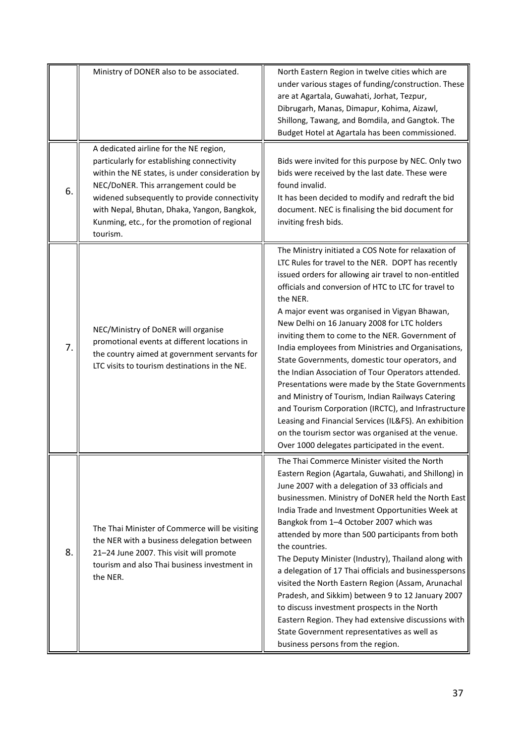|    | Ministry of DONER also to be associated.                                                                                                                                                                                                                                                                                                   | North Eastern Region in twelve cities which are<br>under various stages of funding/construction. These<br>are at Agartala, Guwahati, Jorhat, Tezpur,<br>Dibrugarh, Manas, Dimapur, Kohima, Aizawl,<br>Shillong, Tawang, and Bomdila, and Gangtok. The<br>Budget Hotel at Agartala has been commissioned.                                                                                                                                                                                                                                                                                                                                                                                                                                                                                                                                                                                  |
|----|--------------------------------------------------------------------------------------------------------------------------------------------------------------------------------------------------------------------------------------------------------------------------------------------------------------------------------------------|-------------------------------------------------------------------------------------------------------------------------------------------------------------------------------------------------------------------------------------------------------------------------------------------------------------------------------------------------------------------------------------------------------------------------------------------------------------------------------------------------------------------------------------------------------------------------------------------------------------------------------------------------------------------------------------------------------------------------------------------------------------------------------------------------------------------------------------------------------------------------------------------|
| 6. | A dedicated airline for the NE region,<br>particularly for establishing connectivity<br>within the NE states, is under consideration by<br>NEC/DoNER. This arrangement could be<br>widened subsequently to provide connectivity<br>with Nepal, Bhutan, Dhaka, Yangon, Bangkok,<br>Kunming, etc., for the promotion of regional<br>tourism. | Bids were invited for this purpose by NEC. Only two<br>bids were received by the last date. These were<br>found invalid.<br>It has been decided to modify and redraft the bid<br>document. NEC is finalising the bid document for<br>inviting fresh bids.                                                                                                                                                                                                                                                                                                                                                                                                                                                                                                                                                                                                                                 |
| 7. | NEC/Ministry of DoNER will organise<br>promotional events at different locations in<br>the country aimed at government servants for<br>LTC visits to tourism destinations in the NE.                                                                                                                                                       | The Ministry initiated a COS Note for relaxation of<br>LTC Rules for travel to the NER. DOPT has recently<br>issued orders for allowing air travel to non-entitled<br>officials and conversion of HTC to LTC for travel to<br>the NER.<br>A major event was organised in Vigyan Bhawan,<br>New Delhi on 16 January 2008 for LTC holders<br>inviting them to come to the NER. Government of<br>India employees from Ministries and Organisations,<br>State Governments, domestic tour operators, and<br>the Indian Association of Tour Operators attended.<br>Presentations were made by the State Governments<br>and Ministry of Tourism, Indian Railways Catering<br>and Tourism Corporation (IRCTC), and Infrastructure<br>Leasing and Financial Services (IL&FS). An exhibition<br>on the tourism sector was organised at the venue.<br>Over 1000 delegates participated in the event. |
| 8. | The Thai Minister of Commerce will be visiting<br>the NER with a business delegation between<br>21-24 June 2007. This visit will promote<br>tourism and also Thai business investment in<br>the NER.                                                                                                                                       | The Thai Commerce Minister visited the North<br>Eastern Region (Agartala, Guwahati, and Shillong) in<br>June 2007 with a delegation of 33 officials and<br>businessmen. Ministry of DoNER held the North East<br>India Trade and Investment Opportunities Week at<br>Bangkok from 1-4 October 2007 which was<br>attended by more than 500 participants from both<br>the countries.<br>The Deputy Minister (Industry), Thailand along with<br>a delegation of 17 Thai officials and businesspersons<br>visited the North Eastern Region (Assam, Arunachal<br>Pradesh, and Sikkim) between 9 to 12 January 2007<br>to discuss investment prospects in the North<br>Eastern Region. They had extensive discussions with<br>State Government representatives as well as<br>business persons from the region.                                                                                  |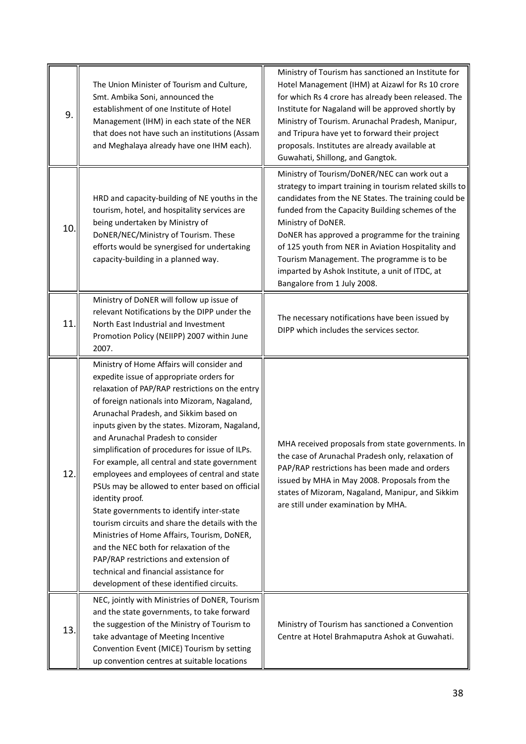| 9.  | The Union Minister of Tourism and Culture,<br>Smt. Ambika Soni, announced the<br>establishment of one Institute of Hotel<br>Management (IHM) in each state of the NER<br>that does not have such an institutions (Assam<br>and Meghalaya already have one IHM each).                                                                                                                                                                                                                                                                                                                                                                                                                                                                                                                                                                                                         | Ministry of Tourism has sanctioned an Institute for<br>Hotel Management (IHM) at Aizawl for Rs 10 crore<br>for which Rs 4 crore has already been released. The<br>Institute for Nagaland will be approved shortly by<br>Ministry of Tourism. Arunachal Pradesh, Manipur,<br>and Tripura have yet to forward their project<br>proposals. Institutes are already available at<br>Guwahati, Shillong, and Gangtok.                                                                    |
|-----|------------------------------------------------------------------------------------------------------------------------------------------------------------------------------------------------------------------------------------------------------------------------------------------------------------------------------------------------------------------------------------------------------------------------------------------------------------------------------------------------------------------------------------------------------------------------------------------------------------------------------------------------------------------------------------------------------------------------------------------------------------------------------------------------------------------------------------------------------------------------------|------------------------------------------------------------------------------------------------------------------------------------------------------------------------------------------------------------------------------------------------------------------------------------------------------------------------------------------------------------------------------------------------------------------------------------------------------------------------------------|
| 10  | HRD and capacity-building of NE youths in the<br>tourism, hotel, and hospitality services are<br>being undertaken by Ministry of<br>DoNER/NEC/Ministry of Tourism. These<br>efforts would be synergised for undertaking<br>capacity-building in a planned way.                                                                                                                                                                                                                                                                                                                                                                                                                                                                                                                                                                                                               | Ministry of Tourism/DoNER/NEC can work out a<br>strategy to impart training in tourism related skills to<br>candidates from the NE States. The training could be<br>funded from the Capacity Building schemes of the<br>Ministry of DoNER.<br>DoNER has approved a programme for the training<br>of 125 youth from NER in Aviation Hospitality and<br>Tourism Management. The programme is to be<br>imparted by Ashok Institute, a unit of ITDC, at<br>Bangalore from 1 July 2008. |
| 11  | Ministry of DoNER will follow up issue of<br>relevant Notifications by the DIPP under the<br>North East Industrial and Investment<br>Promotion Policy (NEIIPP) 2007 within June<br>2007.                                                                                                                                                                                                                                                                                                                                                                                                                                                                                                                                                                                                                                                                                     | The necessary notifications have been issued by<br>DIPP which includes the services sector.                                                                                                                                                                                                                                                                                                                                                                                        |
| 12. | Ministry of Home Affairs will consider and<br>expedite issue of appropriate orders for<br>relaxation of PAP/RAP restrictions on the entry<br>of foreign nationals into Mizoram, Nagaland,<br>Arunachal Pradesh, and Sikkim based on<br>inputs given by the states. Mizoram, Nagaland,<br>and Arunachal Pradesh to consider<br>simplification of procedures for issue of ILPs.<br>For example, all central and state government<br>employees and employees of central and state<br>PSUs may be allowed to enter based on official<br>identity proof.<br>State governments to identify inter-state<br>tourism circuits and share the details with the<br>Ministries of Home Affairs, Tourism, DoNER,<br>and the NEC both for relaxation of the<br>PAP/RAP restrictions and extension of<br>technical and financial assistance for<br>development of these identified circuits. | MHA received proposals from state governments. In<br>the case of Arunachal Pradesh only, relaxation of<br>PAP/RAP restrictions has been made and orders<br>issued by MHA in May 2008. Proposals from the<br>states of Mizoram, Nagaland, Manipur, and Sikkim<br>are still under examination by MHA.                                                                                                                                                                                |
| 13. | NEC, jointly with Ministries of DoNER, Tourism<br>and the state governments, to take forward<br>the suggestion of the Ministry of Tourism to<br>take advantage of Meeting Incentive<br>Convention Event (MICE) Tourism by setting<br>up convention centres at suitable locations                                                                                                                                                                                                                                                                                                                                                                                                                                                                                                                                                                                             | Ministry of Tourism has sanctioned a Convention<br>Centre at Hotel Brahmaputra Ashok at Guwahati.                                                                                                                                                                                                                                                                                                                                                                                  |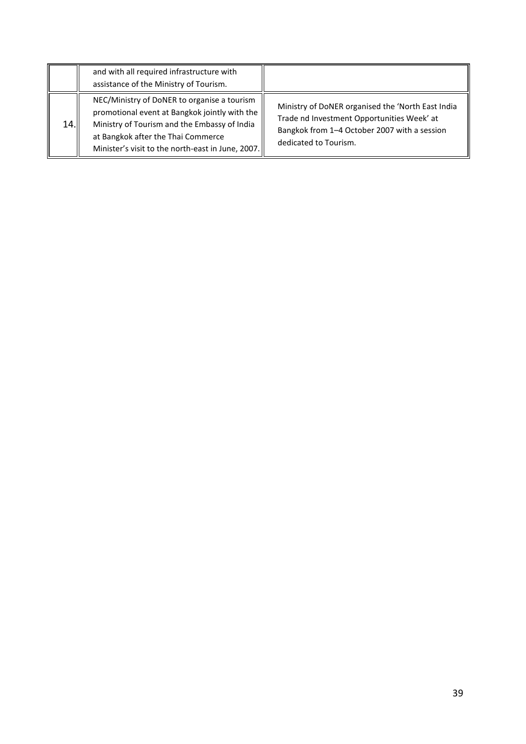|     | and with all required infrastructure with<br>assistance of the Ministry of Tourism.                                                                                                                                                     |                                                                                                                                                                          |
|-----|-----------------------------------------------------------------------------------------------------------------------------------------------------------------------------------------------------------------------------------------|--------------------------------------------------------------------------------------------------------------------------------------------------------------------------|
| 14. | NEC/Ministry of DoNER to organise a tourism<br>promotional event at Bangkok jointly with the<br>Ministry of Tourism and the Embassy of India<br>at Bangkok after the Thai Commerce<br>Minister's visit to the north-east in June, 2007. | Ministry of DoNER organised the 'North East India<br>Trade nd Investment Opportunities Week' at<br>Bangkok from 1-4 October 2007 with a session<br>dedicated to Tourism. |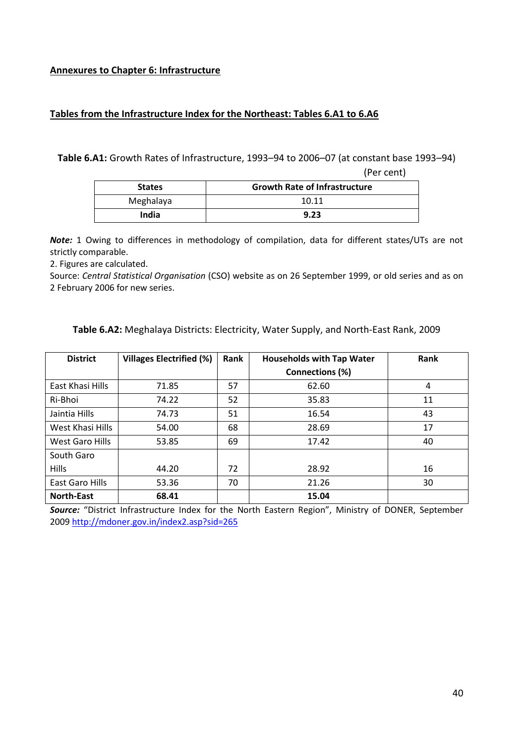### **Annexures to Chapter 6: Infrastructure**

### **Tables from the Infrastructure Index for the Northeast: Tables 6.A1 to 6.A6**

**Table 6.A1:** Growth Rates of Infrastructure, 1993–94 to 2006–07 (at constant base 1993–94)

(Per cent)

| <b>States</b> | <b>Growth Rate of Infrastructure</b> |
|---------------|--------------------------------------|
| Meghalaya     | 10.11                                |
| India         | 9.23                                 |

*Note:* 1 Owing to differences in methodology of compilation, data for different states/UTs are not strictly comparable.

2. Figures are calculated.

Source: *Central Statistical Organisation* (CSO) website as on 26 September 1999, or old series and as on 2 February 2006 for new series.

| <b>District</b>   | <b>Villages Electrified (%)</b> | Rank | <b>Households with Tap Water</b> | Rank |
|-------------------|---------------------------------|------|----------------------------------|------|
|                   |                                 |      | Connections (%)                  |      |
| East Khasi Hills  | 71.85                           | 57   | 62.60                            | 4    |
| Ri-Bhoi           | 74.22                           | 52   | 35.83                            | 11   |
| Jaintia Hills     | 74.73                           | 51   | 16.54                            | 43   |
| West Khasi Hills  | 54.00                           | 68   | 28.69                            | 17   |
| West Garo Hills   | 53.85                           | 69   | 17.42                            | 40   |
| South Garo        |                                 |      |                                  |      |
| <b>Hills</b>      | 44.20                           | 72   | 28.92                            | 16   |
| East Garo Hills   | 53.36                           | 70   | 21.26                            | 30   |
| <b>North-East</b> | 68.41                           |      | 15.04                            |      |

**Table 6.A2:** Meghalaya Districts: Electricity, Water Supply, and North-East Rank, 2009

*Source:* "District Infrastructure Index for the North Eastern Region", Ministry of DONER, September 200[9 http://mdoner.gov.in/index2.asp?sid=265](http://mdoner.gov.in/index2.asp?sid=265)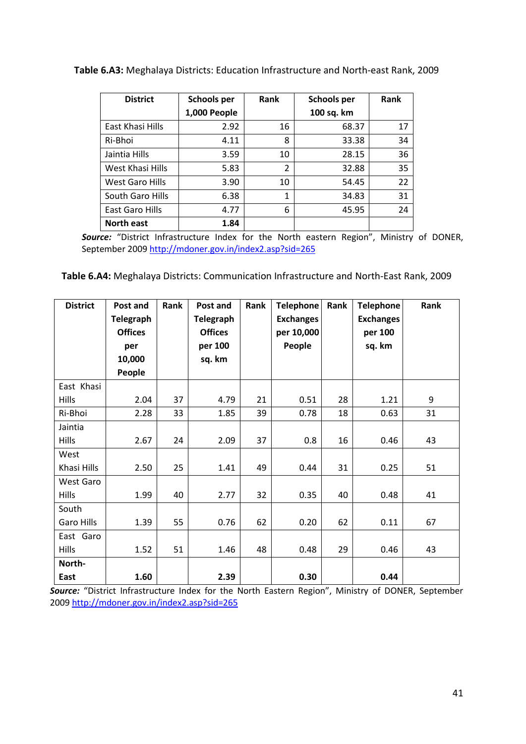| Table 6.A3: Meghalaya Districts: Education Infrastructure and North-east Rank, 2009 |  |  |
|-------------------------------------------------------------------------------------|--|--|
|-------------------------------------------------------------------------------------|--|--|

| <b>District</b>        | <b>Schools per</b> | Rank | <b>Schools per</b> | Rank |
|------------------------|--------------------|------|--------------------|------|
|                        | 1,000 People       |      | 100 sq. km         |      |
| East Khasi Hills       | 2.92               | 16   | 68.37              | 17   |
| Ri-Bhoi                | 4.11               | 8    | 33.38              | 34   |
| Jaintia Hills          | 3.59               | 10   | 28.15              | 36   |
| West Khasi Hills       | 5.83               | 2    | 32.88              | 35   |
| <b>West Garo Hills</b> | 3.90               | 10   | 54.45              | 22   |
| South Garo Hills       | 6.38               | 1    | 34.83              | 31   |
| East Garo Hills        | 4.77               | 6    | 45.95              | 24   |
| <b>North east</b>      | 1.84               |      |                    |      |

*Source:* "District Infrastructure Index for the North eastern Region", Ministry of DONER, September 2009<http://mdoner.gov.in/index2.asp?sid=265>

**Table 6.A4:** Meghalaya Districts: Communication Infrastructure and North-East Rank, 2009

| <b>District</b> | Post and<br>Telegraph<br><b>Offices</b><br>per<br>10,000 | Rank | Post and<br><b>Telegraph</b><br><b>Offices</b><br>per 100<br>sq. km | Rank | <b>Telephone</b><br><b>Exchanges</b><br>per 10,000<br>People | Rank | <b>Telephone</b><br><b>Exchanges</b><br>per 100<br>sq. km | Rank |
|-----------------|----------------------------------------------------------|------|---------------------------------------------------------------------|------|--------------------------------------------------------------|------|-----------------------------------------------------------|------|
|                 | People                                                   |      |                                                                     |      |                                                              |      |                                                           |      |
| East Khasi      |                                                          |      |                                                                     |      |                                                              |      |                                                           |      |
| <b>Hills</b>    | 2.04                                                     | 37   | 4.79                                                                | 21   | 0.51                                                         | 28   | 1.21                                                      | 9    |
| Ri-Bhoi         | 2.28                                                     | 33   | 1.85                                                                | 39   | 0.78                                                         | 18   | 0.63                                                      | 31   |
| Jaintia         |                                                          |      |                                                                     |      |                                                              |      |                                                           |      |
| <b>Hills</b>    | 2.67                                                     | 24   | 2.09                                                                | 37   | 0.8                                                          | 16   | 0.46                                                      | 43   |
| West            |                                                          |      |                                                                     |      |                                                              |      |                                                           |      |
| Khasi Hills     | 2.50                                                     | 25   | 1.41                                                                | 49   | 0.44                                                         | 31   | 0.25                                                      | 51   |
| West Garo       |                                                          |      |                                                                     |      |                                                              |      |                                                           |      |
| <b>Hills</b>    | 1.99                                                     | 40   | 2.77                                                                | 32   | 0.35                                                         | 40   | 0.48                                                      | 41   |
| South           |                                                          |      |                                                                     |      |                                                              |      |                                                           |      |
| Garo Hills      | 1.39                                                     | 55   | 0.76                                                                | 62   | 0.20                                                         | 62   | 0.11                                                      | 67   |
| East Garo       |                                                          |      |                                                                     |      |                                                              |      |                                                           |      |
| <b>Hills</b>    | 1.52                                                     | 51   | 1.46                                                                | 48   | 0.48                                                         | 29   | 0.46                                                      | 43   |
| North-          |                                                          |      |                                                                     |      |                                                              |      |                                                           |      |
| East            | 1.60                                                     |      | 2.39                                                                |      | 0.30                                                         |      | 0.44                                                      |      |

*Source:* "District Infrastructure Index for the North Eastern Region", Ministry of DONER, September 200[9 http://mdoner.gov.in/index2.asp?sid=265](http://mdoner.gov.in/index2.asp?sid=265)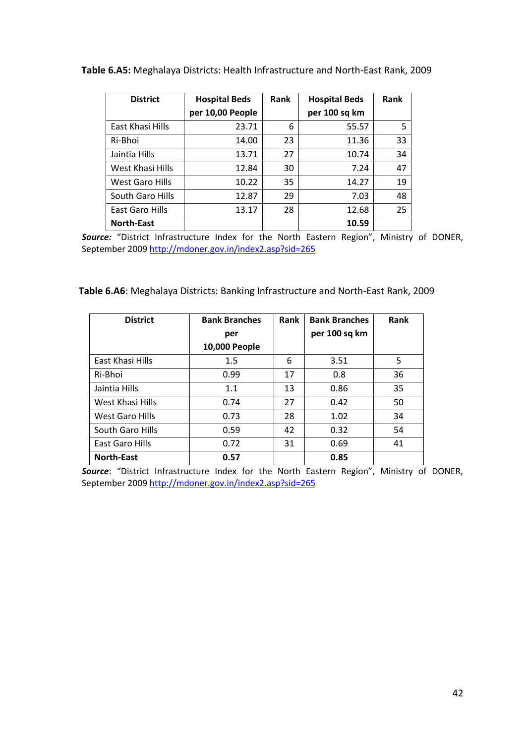| <b>District</b>   | <b>Hospital Beds</b> | Rank | <b>Hospital Beds</b> | Rank |
|-------------------|----------------------|------|----------------------|------|
|                   | per 10,00 People     |      | per 100 sq km        |      |
| East Khasi Hills  | 23.71                | 6    | 55.57                | 5    |
| Ri-Bhoi           | 14.00                | 23   | 11.36                | 33   |
| Jaintia Hills     | 13.71                | 27   | 10.74                | 34   |
| West Khasi Hills  | 12.84                | 30   | 7.24                 | 47   |
| West Garo Hills   | 10.22                | 35   | 14.27                | 19   |
| South Garo Hills  | 12.87                | 29   | 7.03                 | 48   |
| East Garo Hills   | 13.17                | 28   | 12.68                | 25   |
| <b>North-East</b> |                      |      | 10.59                |      |

**Table 6.A5:** Meghalaya Districts: Health Infrastructure and North-East Rank, 2009

*Source:* "District Infrastructure Index for the North Eastern Region", Ministry of DONER, September 2009<http://mdoner.gov.in/index2.asp?sid=265>

**Table 6.A6**: Meghalaya Districts: Banking Infrastructure and North-East Rank, 2009

| <b>District</b>   | <b>Bank Branches</b><br>Rank |    | <b>Bank Branches</b> | Rank |
|-------------------|------------------------------|----|----------------------|------|
|                   | per                          |    | per 100 sq km        |      |
|                   | 10,000 People                |    |                      |      |
| East Khasi Hills  | 1.5                          | 6  | 3.51                 | 5    |
| Ri-Bhoi           | 0.99                         | 17 | 0.8                  | 36   |
| Jaintia Hills     | 1.1                          | 13 | 0.86                 | 35   |
| West Khasi Hills  | 0.74                         | 27 | 0.42                 | 50   |
| West Garo Hills   | 0.73                         | 28 | 1.02                 | 34   |
| South Garo Hills  | 0.59                         | 42 | 0.32                 | 54   |
| East Garo Hills   | 0.72                         | 31 | 0.69                 | 41   |
| <b>North-East</b> | 0.57                         |    | 0.85                 |      |

*Source*: "District Infrastructure Index for the North Eastern Region", Ministry of DONER, September 2009<http://mdoner.gov.in/index2.asp?sid=265>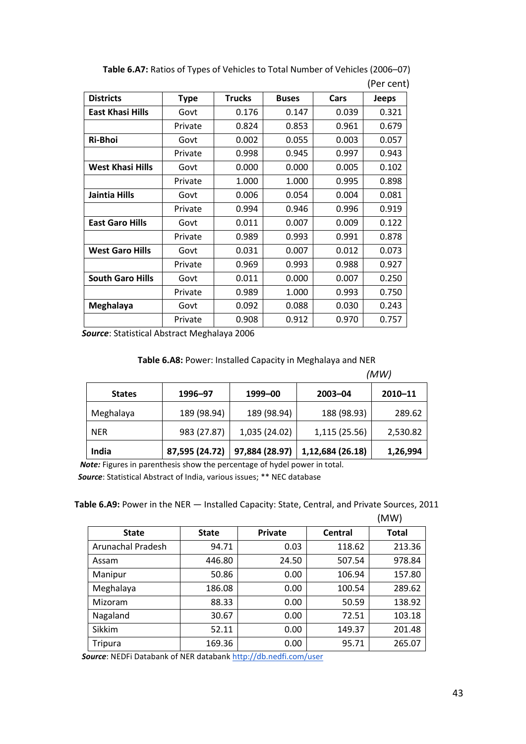|                         |             |               |              |       | וי כו ככוונ  |
|-------------------------|-------------|---------------|--------------|-------|--------------|
| <b>Districts</b>        | <b>Type</b> | <b>Trucks</b> | <b>Buses</b> | Cars  | <b>Jeeps</b> |
| <b>East Khasi Hills</b> | Govt        | 0.176         | 0.147        | 0.039 | 0.321        |
|                         | Private     | 0.824         | 0.853        | 0.961 | 0.679        |
| Ri-Bhoi                 | Govt        | 0.002         | 0.055        | 0.003 | 0.057        |
|                         | Private     | 0.998         | 0.945        | 0.997 | 0.943        |
| <b>West Khasi Hills</b> | Govt        | 0.000         | 0.000        | 0.005 | 0.102        |
|                         | Private     | 1.000         | 1.000        | 0.995 | 0.898        |
| Jaintia Hills           | Govt        | 0.006         | 0.054        | 0.004 | 0.081        |
|                         | Private     | 0.994         | 0.946        | 0.996 | 0.919        |
| <b>East Garo Hills</b>  | Govt        | 0.011         | 0.007        | 0.009 | 0.122        |
|                         | Private     | 0.989         | 0.993        | 0.991 | 0.878        |
| <b>West Garo Hills</b>  | Govt        | 0.031         | 0.007        | 0.012 | 0.073        |
|                         | Private     | 0.969         | 0.993        | 0.988 | 0.927        |
| <b>South Garo Hills</b> | Govt        | 0.011         | 0.000        | 0.007 | 0.250        |
|                         | Private     | 0.989         | 1.000        | 0.993 | 0.750        |
| Meghalaya               | Govt        | 0.092         | 0.088        | 0.030 | 0.243        |
|                         | Private     | 0.908         | 0.912        | 0.970 | 0.757        |

**Table 6.A7:** Ratios of Types of Vehicles to Total Number of Vehicles (2006–07) (Per cent)

*Source*: Statistical Abstract Meghalaya 2006

|  | Table 6.A8: Power: Installed Capacity in Meghalaya and NER |
|--|------------------------------------------------------------|
|--|------------------------------------------------------------|

|               |                |                |                  | (MW)     |
|---------------|----------------|----------------|------------------|----------|
| <b>States</b> | 1996-97        | 1999-00        | $2003 - 04$      | 2010-11  |
| Meghalaya     | 189 (98.94)    | 189 (98.94)    | 188 (98.93)      | 289.62   |
| <b>NER</b>    | 983 (27.87)    | 1,035 (24.02)  | 1,115 (25.56)    | 2,530.82 |
| India         | 87,595 (24.72) | 97,884 (28.97) | 1,12,684 (26.18) | 1,26,994 |

 *Note:* Figures in parenthesis show the percentage of hydel power in total.  *Source*: Statistical Abstract of India, various issues; \*\* NEC database

### **Table 6.A9:** Power in the NER — Installed Capacity: State, Central, and Private Sources, 2011

|                   |              |                |                | (MW)         |
|-------------------|--------------|----------------|----------------|--------------|
| <b>State</b>      | <b>State</b> | <b>Private</b> | <b>Central</b> | <b>Total</b> |
| Arunachal Pradesh | 94.71        | 0.03           | 118.62         | 213.36       |
| Assam             | 446.80       | 24.50          | 507.54         | 978.84       |
| Manipur           | 50.86        | 0.00           | 106.94         | 157.80       |
| Meghalaya         | 186.08       | 0.00           | 100.54         | 289.62       |
| Mizoram           | 88.33        | 0.00           | 50.59          | 138.92       |
| Nagaland          | 30.67        | 0.00           | 72.51          | 103.18       |
| Sikkim            | 52.11        | 0.00           | 149.37         | 201.48       |
| Tripura           | 169.36       | 0.00           | 95.71          | 265.07       |

Source: NEDFi Databank of NER databank<http://db.nedfi.com/user>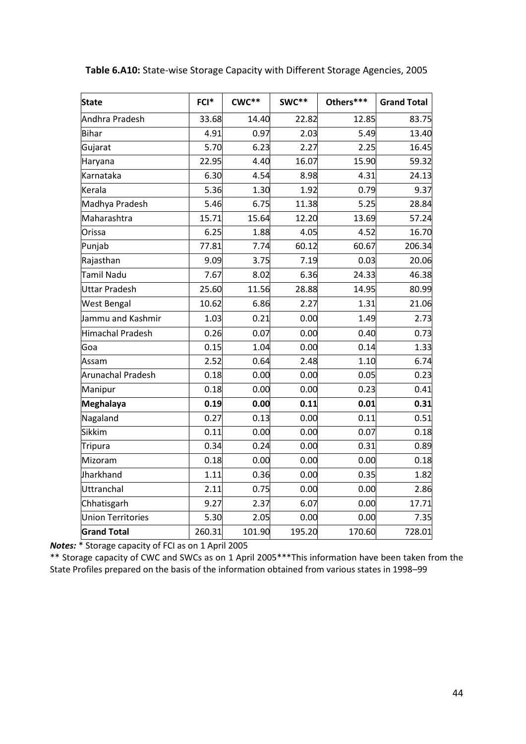| <b>State</b>             | FCI*   | $CWC**$ | SWC**  | Others*** | <b>Grand Total</b> |
|--------------------------|--------|---------|--------|-----------|--------------------|
| Andhra Pradesh           | 33.68  | 14.40   | 22.82  | 12.85     | 83.75              |
| Bihar                    | 4.91   | 0.97    | 2.03   | 5.49      | 13.40              |
| Gujarat                  | 5.70   | 6.23    | 2.27   | 2.25      | 16.45              |
| Haryana                  | 22.95  | 4.40    | 16.07  | 15.90     | 59.32              |
| Karnataka                | 6.30   | 4.54    | 8.98   | 4.31      | 24.13              |
| Kerala                   | 5.36   | 1.30    | 1.92   | 0.79      | 9.37               |
| Madhya Pradesh           | 5.46   | 6.75    | 11.38  | 5.25      | 28.84              |
| Maharashtra              | 15.71  | 15.64   | 12.20  | 13.69     | 57.24              |
| Orissa                   | 6.25   | 1.88    | 4.05   | 4.52      | 16.70              |
| Punjab                   | 77.81  | 7.74    | 60.12  | 60.67     | 206.34             |
| Rajasthan                | 9.09   | 3.75    | 7.19   | 0.03      | 20.06              |
| <b>Tamil Nadu</b>        | 7.67   | 8.02    | 6.36   | 24.33     | 46.38              |
| <b>Uttar Pradesh</b>     | 25.60  | 11.56   | 28.88  | 14.95     | 80.99              |
| <b>West Bengal</b>       | 10.62  | 6.86    | 2.27   | 1.31      | 21.06              |
| Jammu and Kashmir        | 1.03   | 0.21    | 0.00   | 1.49      | 2.73               |
| <b>Himachal Pradesh</b>  | 0.26   | 0.07    | 0.00   | 0.40      | 0.73               |
| Goa                      | 0.15   | 1.04    | 0.00   | 0.14      | 1.33               |
| Assam                    | 2.52   | 0.64    | 2.48   | 1.10      | 6.74               |
| <b>Arunachal Pradesh</b> | 0.18   | 0.00    | 0.00   | 0.05      | 0.23               |
| Manipur                  | 0.18   | 0.00    | 0.00   | 0.23      | 0.41               |
| <b>Meghalaya</b>         | 0.19   | 0.00    | 0.11   | 0.01      | 0.31               |
| Nagaland                 | 0.27   | 0.13    | 0.00   | 0.11      | 0.51               |
| <b>Sikkim</b>            | 0.11   | 0.00    | 0.00   | 0.07      | 0.18               |
| <b>Tripura</b>           | 0.34   | 0.24    | 0.00   | 0.31      | 0.89               |
| Mizoram                  | 0.18   | 0.00    | 0.00   | 0.00      | 0.18               |
| Jharkhand                | 1.11   | 0.36    | 0.00   | 0.35      | 1.82               |
| Uttranchal               | 2.11   | 0.75    | 0.00   | 0.00      | 2.86               |
| Chhatisgarh              | 9.27   | 2.37    | 6.07   | 0.00      | 17.71              |
| <b>Union Territories</b> | 5.30   | 2.05    | 0.00   | 0.00      | 7.35               |
| <b>Grand Total</b>       | 260.31 | 101.90  | 195.20 | 170.60    | 728.01             |

**Table 6.A10:** State-wise Storage Capacity with Different Storage Agencies, 2005

*Notes:* \* Storage capacity of FCI as on 1 April 2005

\*\* Storage capacity of CWC and SWCs as on 1 April 2005\*\*\*This information have been taken from the State Profiles prepared on the basis of the information obtained from various states in 1998–99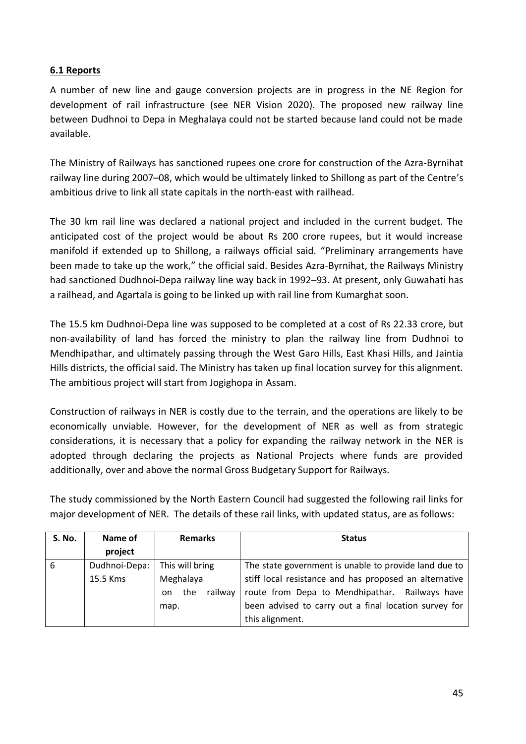# **6.1 Reports**

A number of new line and gauge conversion projects are in progress in the NE Region for development of rail infrastructure (see NER Vision 2020). The proposed new railway line between Dudhnoi to Depa in Meghalaya could not be started because land could not be made available.

The Ministry of Railways has sanctioned rupees one crore for construction of the Azra-Byrnihat railway line during 2007–08, which would be ultimately linked to Shillong as part of the Centre's ambitious drive to link all state capitals in the north-east with railhead.

The 30 km rail line was declared a national project and included in the current budget. The anticipated cost of the project would be about Rs 200 crore rupees, but it would increase manifold if extended up to Shillong, a railways official said. "Preliminary arrangements have been made to take up the work," the official said. Besides Azra-Byrnihat, the Railways Ministry had sanctioned Dudhnoi-Depa railway line way back in 1992–93. At present, only Guwahati has a railhead, and Agartala is going to be linked up with rail line from Kumarghat soon.

The 15.5 km Dudhnoi-Depa line was supposed to be completed at a cost of Rs 22.33 crore, but non-availability of land has forced the ministry to plan the railway line from Dudhnoi to Mendhipathar, and ultimately passing through the West Garo Hills, East Khasi Hills, and Jaintia Hills districts, the official said. The Ministry has taken up final location survey for this alignment. The ambitious project will start from Jogighopa in Assam.

Construction of railways in NER is costly due to the terrain, and the operations are likely to be economically unviable. However, for the development of NER as well as from strategic considerations, it is necessary that a policy for expanding the railway network in the NER is adopted through declaring the projects as National Projects where funds are provided additionally, over and above the normal Gross Budgetary Support for Railways.

The study commissioned by the North Eastern Council had suggested the following rail links for major development of NER. The details of these rail links, with updated status, are as follows:

| <b>S. No.</b> | Name of       | <b>Remarks</b>       | <b>Status</b>                                          |  |
|---------------|---------------|----------------------|--------------------------------------------------------|--|
|               | project       |                      |                                                        |  |
| 6             | Dudhnoi-Depa: | This will bring      | The state government is unable to provide land due to  |  |
|               | 15.5 Kms      | Meghalaya            | stiff local resistance and has proposed an alternative |  |
|               |               | the<br>railway<br>on | route from Depa to Mendhipathar.<br>Railways have      |  |
|               |               | map.                 | been advised to carry out a final location survey for  |  |
|               |               |                      | this alignment.                                        |  |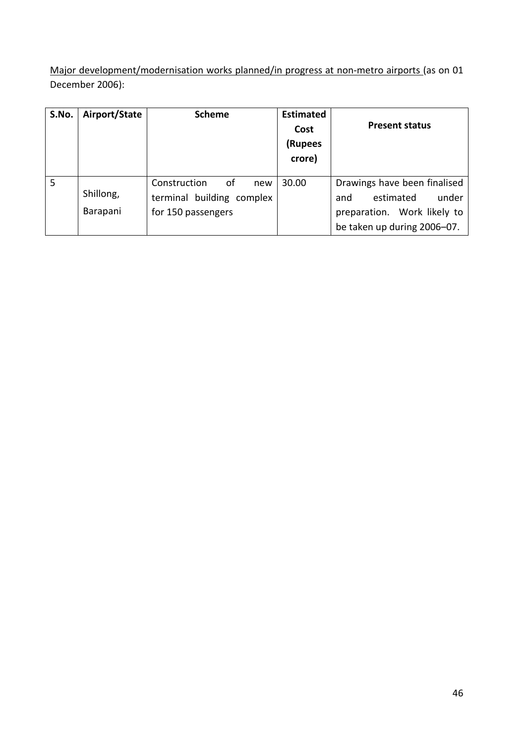Major development/modernisation works planned/in progress at non-metro airports (as on 01 December 2006):

| S.No. | Airport/State         | <b>Scheme</b>                                                                | <b>Estimated</b><br>Cost<br>(Rupees<br>crore) | <b>Present status</b>                                                                                                   |
|-------|-----------------------|------------------------------------------------------------------------------|-----------------------------------------------|-------------------------------------------------------------------------------------------------------------------------|
| 5     | Shillong,<br>Barapani | of<br>Construction<br>new<br>terminal building complex<br>for 150 passengers | 30.00                                         | Drawings have been finalised<br>estimated<br>under<br>and<br>preparation. Work likely to<br>be taken up during 2006-07. |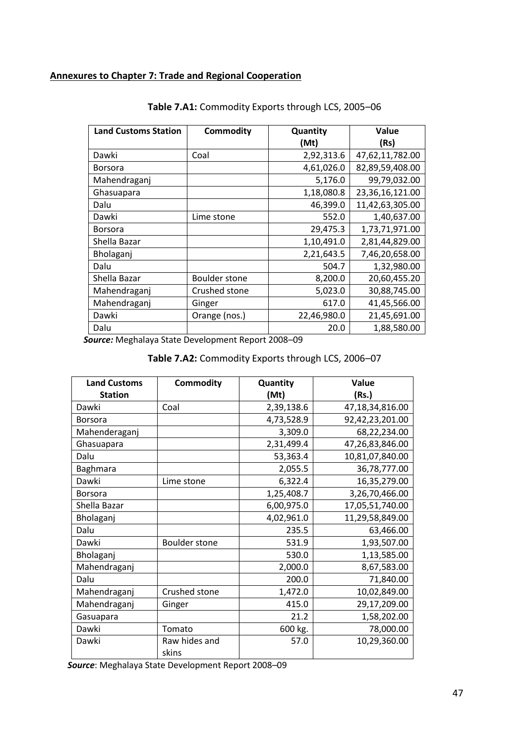# **Annexures to Chapter 7: Trade and Regional Cooperation**

| <b>Land Customs Station</b> | <b>Commodity</b>     | Quantity    | Value           |
|-----------------------------|----------------------|-------------|-----------------|
|                             |                      | (Mt)        | (Rs)            |
| Dawki                       | Coal                 | 2,92,313.6  | 47,62,11,782.00 |
| <b>Borsora</b>              |                      | 4,61,026.0  | 82,89,59,408.00 |
| Mahendraganj                |                      | 5,176.0     | 99,79,032.00    |
| Ghasuapara                  |                      | 1,18,080.8  | 23,36,16,121.00 |
| Dalu                        |                      | 46,399.0    | 11,42,63,305.00 |
| Dawki                       | Lime stone           | 552.0       | 1,40,637.00     |
| <b>Borsora</b>              |                      | 29,475.3    | 1,73,71,971.00  |
| Shella Bazar                |                      | 1,10,491.0  | 2,81,44,829.00  |
| Bholaganj                   |                      | 2,21,643.5  | 7,46,20,658.00  |
| Dalu                        |                      | 504.7       | 1,32,980.00     |
| Shella Bazar                | <b>Boulder stone</b> | 8,200.0     | 20,60,455.20    |
| Mahendraganj                | Crushed stone        | 5,023.0     | 30,88,745.00    |
| Mahendraganj                | Ginger               | 617.0       | 41,45,566.00    |
| Dawki                       | Orange (nos.)        | 22,46,980.0 | 21,45,691.00    |
| Dalu                        |                      | 20.0        | 1,88,580.00     |

# **Table 7.A1:** Commodity Exports through LCS, 2005–06

 *Source:* Meghalaya State Development Report 2008–09

### **Table 7.A2:** Commodity Exports through LCS, 2006–07

| <b>Land Customs</b> | Commodity            | Quantity   | Value           |
|---------------------|----------------------|------------|-----------------|
| <b>Station</b>      |                      | (Mt)       | (Rs.)           |
| Dawki               | Coal                 | 2,39,138.6 | 47,18,34,816.00 |
| <b>Borsora</b>      |                      | 4,73,528.9 | 92,42,23,201.00 |
| Mahenderaganj       |                      | 3,309.0    | 68,22,234.00    |
| Ghasuapara          |                      | 2,31,499.4 | 47,26,83,846.00 |
| Dalu                |                      | 53,363.4   | 10,81,07,840.00 |
| Baghmara            |                      | 2,055.5    | 36,78,777.00    |
| Dawki               | Lime stone           | 6,322.4    | 16,35,279.00    |
| <b>Borsora</b>      |                      | 1,25,408.7 | 3,26,70,466.00  |
| Shella Bazar        |                      | 6,00,975.0 | 17,05,51,740.00 |
| Bholaganj           |                      | 4,02,961.0 | 11,29,58,849.00 |
| Dalu                |                      | 235.5      | 63,466.00       |
| Dawki               | <b>Boulder stone</b> | 531.9      | 1,93,507.00     |
| Bholaganj           |                      | 530.0      | 1,13,585.00     |
| Mahendraganj        |                      | 2,000.0    | 8,67,583.00     |
| Dalu                |                      | 200.0      | 71,840.00       |
| Mahendraganj        | Crushed stone        | 1,472.0    | 10,02,849.00    |
| Mahendraganj        | Ginger               | 415.0      | 29,17,209.00    |
| Gasuapara           |                      | 21.2       | 1,58,202.00     |
| Dawki               | Tomato               | 600 kg.    | 78,000.00       |
| Dawki               | Raw hides and        | 57.0       | 10,29,360.00    |
|                     | skins                |            |                 |

 *Source*: Meghalaya State Development Report 2008–09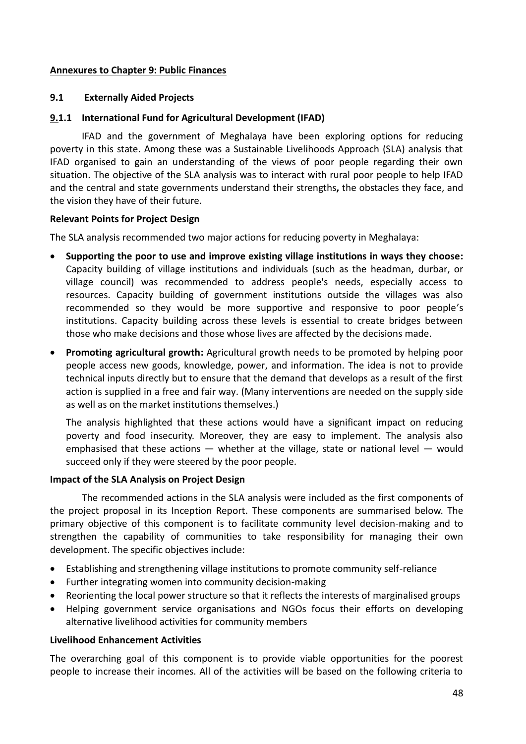### **Annexures to Chapter 9: Public Finances**

### **9.1 Externally Aided Projects**

### **9.1.1 International Fund for Agricultural Development (IFAD)**

IFAD and the government of Meghalaya have been exploring options for reducing poverty in this state. Among these was a Sustainable Livelihoods Approach (SLA) analysis that IFAD organised to gain an understanding of the views of poor people regarding their own situation. The objective of the SLA analysis was to interact with rural poor people to help IFAD and the central and state governments understand their strengths**,** the obstacles they face, and the vision they have of their future.

### **Relevant Points for Project Design**

The SLA analysis recommended two major actions for reducing poverty in Meghalaya:

- **Supporting the poor to use and improve existing village institutions in ways they choose:** Capacity building of village institutions and individuals (such as the headman, durbar, or village council) was recommended to address people's needs, especially access to resources. Capacity building of government institutions outside the villages was also recommended so they would be more supportive and responsive to poor people's institutions. Capacity building across these levels is essential to create bridges between those who make decisions and those whose lives are affected by the decisions made.
- **Promoting agricultural growth:** Agricultural growth needs to be promoted by helping poor people access new goods, knowledge, power, and information. The idea is not to provide technical inputs directly but to ensure that the demand that develops as a result of the first action is supplied in a free and fair way. (Many interventions are needed on the supply side as well as on the market institutions themselves.)

The analysis highlighted that these actions would have a significant impact on reducing poverty and food insecurity. Moreover, they are easy to implement. The analysis also emphasised that these actions  $-$  whether at the village, state or national level  $-$  would succeed only if they were steered by the poor people.

### **Impact of the SLA Analysis on Project Design**

The recommended actions in the SLA analysis were included as the first components of the project proposal in its Inception Report. These components are summarised below. The primary objective of this component is to facilitate community level decision-making and to strengthen the capability of communities to take responsibility for managing their own development. The specific objectives include:

- Establishing and strengthening village institutions to promote community self-reliance
- Further integrating women into community decision-making
- Reorienting the local power structure so that it reflects the interests of marginalised groups
- Helping government service organisations and NGOs focus their efforts on developing alternative livelihood activities for community members

### **Livelihood Enhancement Activities**

The overarching goal of this component is to provide viable opportunities for the poorest people to increase their incomes. All of the activities will be based on the following criteria to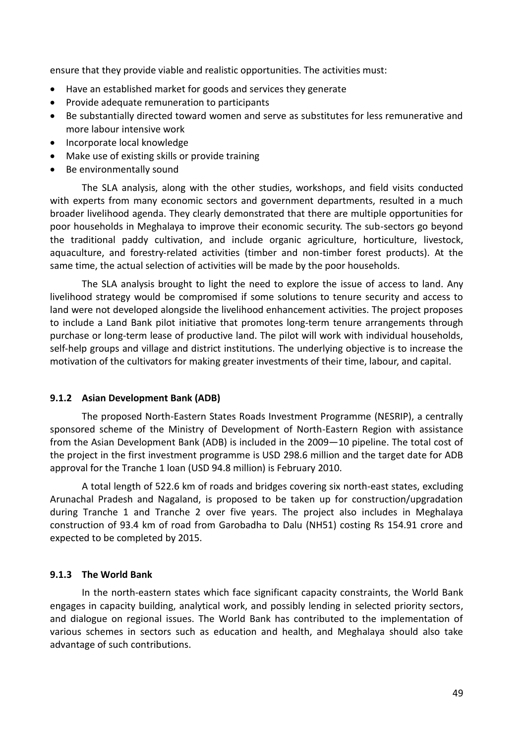ensure that they provide viable and realistic opportunities. The activities must:

- Have an established market for goods and services they generate
- Provide adequate remuneration to participants
- Be substantially directed toward women and serve as substitutes for less remunerative and more labour intensive work
- Incorporate local knowledge
- Make use of existing skills or provide training
- Be environmentally sound

The SLA analysis, along with the other studies, workshops, and field visits conducted with experts from many economic sectors and government departments, resulted in a much broader livelihood agenda. They clearly demonstrated that there are multiple opportunities for poor households in Meghalaya to improve their economic security. The sub-sectors go beyond the traditional paddy cultivation, and include organic agriculture, horticulture, livestock, aquaculture, and forestry-related activities (timber and non-timber forest products). At the same time, the actual selection of activities will be made by the poor households.

The SLA analysis brought to light the need to explore the issue of access to land. Any livelihood strategy would be compromised if some solutions to tenure security and access to land were not developed alongside the livelihood enhancement activities. The project proposes to include a Land Bank pilot initiative that promotes long-term tenure arrangements through purchase or long-term lease of productive land. The pilot will work with individual households, self-help groups and village and district institutions. The underlying objective is to increase the motivation of the cultivators for making greater investments of their time, labour, and capital.

### **9.1.2 Asian Development Bank (ADB)**

The proposed North-Eastern States Roads Investment Programme (NESRIP), a centrally sponsored scheme of the Ministry of Development of North-Eastern Region with assistance from the Asian Development Bank (ADB) is included in the 2009—10 pipeline. The total cost of the project in the first investment programme is USD 298.6 million and the target date for ADB approval for the Tranche 1 loan (USD 94.8 million) is February 2010.

A total length of 522.6 km of roads and bridges covering six north-east states, excluding Arunachal Pradesh and Nagaland, is proposed to be taken up for construction/upgradation during Tranche 1 and Tranche 2 over five years. The project also includes in Meghalaya construction of 93.4 km of road from Garobadha to Dalu (NH51) costing Rs 154.91 crore and expected to be completed by 2015.

### **9.1.3 The World Bank**

In the north-eastern states which face significant capacity constraints, the World Bank engages in capacity building, analytical work, and possibly lending in selected priority sectors, and dialogue on regional issues. The World Bank has contributed to the implementation of various schemes in sectors such as education and health, and Meghalaya should also take advantage of such contributions.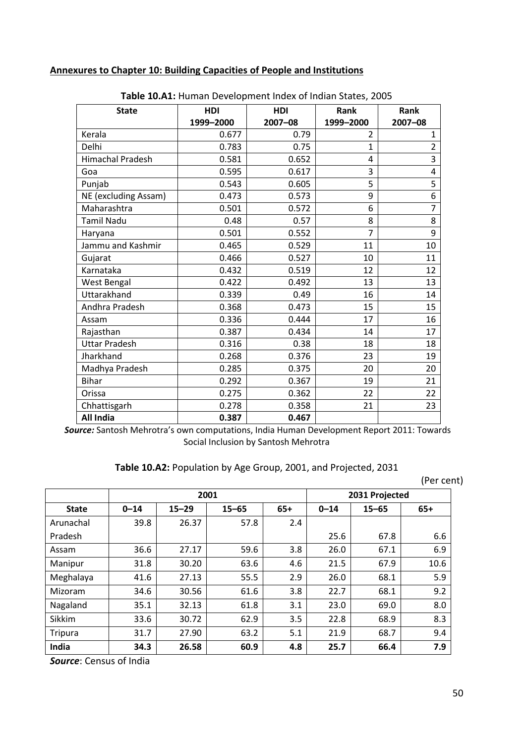### **Annexures to Chapter 10: Building Capacities of People and Institutions**

| <b>State</b>            | <b>HDI</b> | <b>HDI</b> | Rank           | Rank           |
|-------------------------|------------|------------|----------------|----------------|
|                         | 1999-2000  | 2007-08    | 1999-2000      | 2007-08        |
| Kerala                  | 0.677      | 0.79       | $\overline{2}$ | 1              |
| Delhi                   | 0.783      | 0.75       | $\mathbf{1}$   | $\overline{2}$ |
| <b>Himachal Pradesh</b> | 0.581      | 0.652      | 4              | 3              |
| Goa                     | 0.595      | 0.617      | 3              | 4              |
| Punjab                  | 0.543      | 0.605      | 5              | 5              |
| NE (excluding Assam)    | 0.473      | 0.573      | 9              | 6              |
| Maharashtra             | 0.501      | 0.572      | 6              | $\overline{7}$ |
| <b>Tamil Nadu</b>       | 0.48       | 0.57       | 8              | 8              |
| Haryana                 | 0.501      | 0.552      | $\overline{7}$ | 9              |
| Jammu and Kashmir       | 0.465      | 0.529      | 11             | 10             |
| Gujarat                 | 0.466      | 0.527      | 10             | 11             |
| Karnataka               | 0.432      | 0.519      | 12             | 12             |
| <b>West Bengal</b>      | 0.422      | 0.492      | 13             | 13             |
| Uttarakhand             | 0.339      | 0.49       | 16             | 14             |
| Andhra Pradesh          | 0.368      | 0.473      | 15             | 15             |
| Assam                   | 0.336      | 0.444      | 17             | 16             |
| Rajasthan               | 0.387      | 0.434      | 14             | 17             |
| <b>Uttar Pradesh</b>    | 0.316      | 0.38       | 18             | 18             |
| Jharkhand               | 0.268      | 0.376      | 23             | 19             |
| Madhya Pradesh          | 0.285      | 0.375      | 20             | 20             |
| <b>Bihar</b>            | 0.292      | 0.367      | 19             | 21             |
| Orissa                  | 0.275      | 0.362      | 22             | 22             |
| Chhattisgarh            | 0.278      | 0.358      | 21             | 23             |
| <b>All India</b>        | 0.387      | 0.467      |                |                |

**Table 10.A1:** Human Development Index of Indian States, 2005

*Source:* Santosh Mehrotra's own computations, India Human Development Report 2011: Towards Social Inclusion by Santosh Mehrotra

### **Table 10.A2:** Population by Age Group, 2001, and Projected, 2031

(Per cent)

|              | 2001     |           |           |       |          | 2031 Projected |       |
|--------------|----------|-----------|-----------|-------|----------|----------------|-------|
| <b>State</b> | $0 - 14$ | $15 - 29$ | $15 - 65$ | $65+$ | $0 - 14$ | $15 - 65$      | $65+$ |
| Arunachal    | 39.8     | 26.37     | 57.8      | 2.4   |          |                |       |
| Pradesh      |          |           |           |       | 25.6     | 67.8           | 6.6   |
| Assam        | 36.6     | 27.17     | 59.6      | 3.8   | 26.0     | 67.1           | 6.9   |
| Manipur      | 31.8     | 30.20     | 63.6      | 4.6   | 21.5     | 67.9           | 10.6  |
| Meghalaya    | 41.6     | 27.13     | 55.5      | 2.9   | 26.0     | 68.1           | 5.9   |
| Mizoram      | 34.6     | 30.56     | 61.6      | 3.8   | 22.7     | 68.1           | 9.2   |
| Nagaland     | 35.1     | 32.13     | 61.8      | 3.1   | 23.0     | 69.0           | 8.0   |
| Sikkim       | 33.6     | 30.72     | 62.9      | 3.5   | 22.8     | 68.9           | 8.3   |
| Tripura      | 31.7     | 27.90     | 63.2      | 5.1   | 21.9     | 68.7           | 9.4   |
| India        | 34.3     | 26.58     | 60.9      | 4.8   | 25.7     | 66.4           | 7.9   |

*Source*: Census of India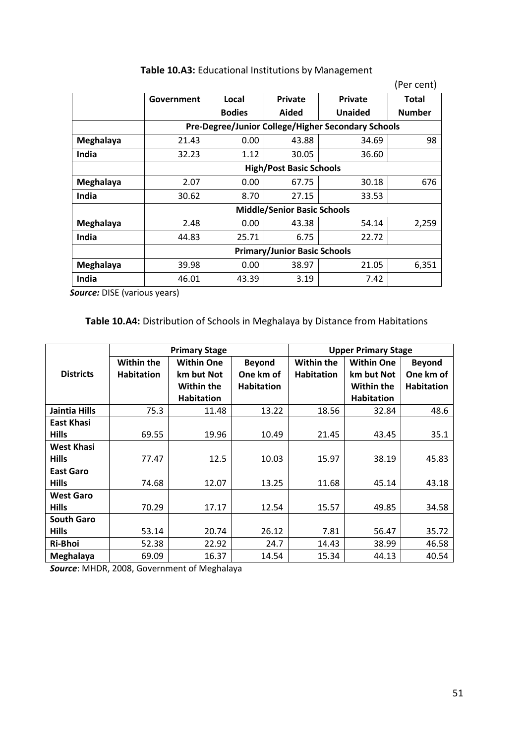|           |                                     |                                |                                    |                                                    | (Per cent)    |  |  |
|-----------|-------------------------------------|--------------------------------|------------------------------------|----------------------------------------------------|---------------|--|--|
|           | Government                          | Local                          | <b>Private</b>                     | <b>Private</b>                                     | Total         |  |  |
|           |                                     | <b>Bodies</b>                  | Aided                              | Unaided                                            | <b>Number</b> |  |  |
|           |                                     |                                |                                    | Pre-Degree/Junior College/Higher Secondary Schools |               |  |  |
| Meghalaya | 21.43                               | 0.00                           | 43.88                              | 34.69                                              | 98            |  |  |
| India     | 32.23                               | 1.12                           | 30.05                              | 36.60                                              |               |  |  |
|           |                                     | <b>High/Post Basic Schools</b> |                                    |                                                    |               |  |  |
| Meghalaya | 2.07                                | 0.00                           | 67.75                              | 30.18                                              | 676           |  |  |
| India     | 30.62                               | 8.70                           | 27.15                              | 33.53                                              |               |  |  |
|           |                                     |                                | <b>Middle/Senior Basic Schools</b> |                                                    |               |  |  |
| Meghalaya | 2.48                                | 0.00                           | 43.38                              | 54.14                                              | 2,259         |  |  |
| India     | 44.83                               | 25.71                          | 6.75                               | 22.72                                              |               |  |  |
|           | <b>Primary/Junior Basic Schools</b> |                                |                                    |                                                    |               |  |  |
| Meghalaya | 39.98                               | 0.00                           | 38.97                              | 21.05                                              | 6,351         |  |  |
| India     | 46.01                               | 43.39                          | 3.19                               | 7.42                                               |               |  |  |

# **Table 10.A3:** Educational Institutions by Management

 *Source:* DISE (various years)

# **Table 10.A4:** Distribution of Schools in Meghalaya by Distance from Habitations

|                   |                   | <b>Primary Stage</b> |                   | <b>Upper Primary Stage</b> |                   |                   |  |
|-------------------|-------------------|----------------------|-------------------|----------------------------|-------------------|-------------------|--|
|                   | <b>Within the</b> | <b>Within One</b>    | <b>Beyond</b>     | <b>Within the</b>          | <b>Within One</b> | <b>Beyond</b>     |  |
| <b>Districts</b>  | <b>Habitation</b> | km but Not           | One km of         | <b>Habitation</b>          | km but Not        | One km of         |  |
|                   |                   | <b>Within the</b>    | <b>Habitation</b> |                            | Within the        | <b>Habitation</b> |  |
|                   |                   | <b>Habitation</b>    |                   |                            | <b>Habitation</b> |                   |  |
| Jaintia Hills     | 75.3              | 11.48                | 13.22             | 18.56                      | 32.84             | 48.6              |  |
| <b>East Khasi</b> |                   |                      |                   |                            |                   |                   |  |
| <b>Hills</b>      | 69.55             | 19.96                | 10.49             | 21.45                      | 43.45             | 35.1              |  |
| <b>West Khasi</b> |                   |                      |                   |                            |                   |                   |  |
| <b>Hills</b>      | 77.47             | 12.5                 | 10.03             | 15.97                      | 38.19             | 45.83             |  |
| <b>East Garo</b>  |                   |                      |                   |                            |                   |                   |  |
| <b>Hills</b>      | 74.68             | 12.07                | 13.25             | 11.68                      | 45.14             | 43.18             |  |
| <b>West Garo</b>  |                   |                      |                   |                            |                   |                   |  |
| <b>Hills</b>      | 70.29             | 17.17                | 12.54             | 15.57                      | 49.85             | 34.58             |  |
| <b>South Garo</b> |                   |                      |                   |                            |                   |                   |  |
| <b>Hills</b>      | 53.14             | 20.74                | 26.12             | 7.81                       | 56.47             | 35.72             |  |
| Ri-Bhoi           | 52.38             | 22.92                | 24.7              | 14.43                      | 38.99             | 46.58             |  |
| Meghalaya         | 69.09             | 16.37                | 14.54             | 15.34                      | 44.13             | 40.54             |  |

*Source*: MHDR, 2008, Government of Meghalaya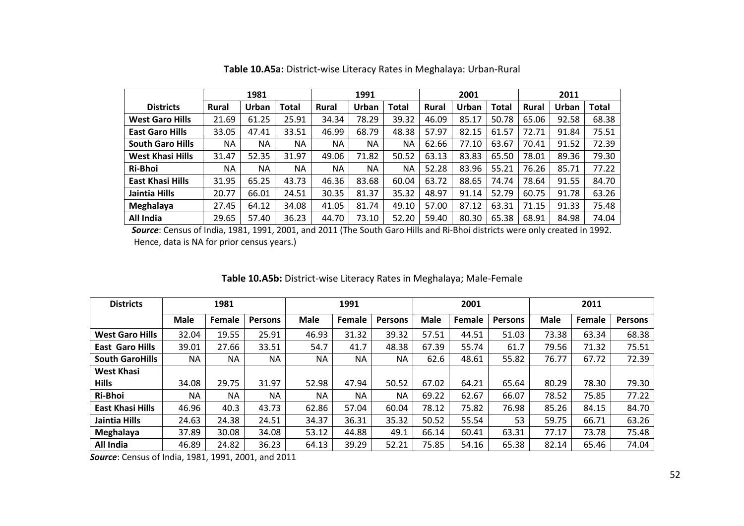|                         |              | 1981      |              | 1991  |           |              |              | 2001  |              | 2011         |       |              |
|-------------------------|--------------|-----------|--------------|-------|-----------|--------------|--------------|-------|--------------|--------------|-------|--------------|
| <b>Districts</b>        | <b>Rural</b> | Urban     | <b>Total</b> | Rural | Urban     | <b>Total</b> | <b>Rural</b> | Urban | <b>Total</b> | <b>Rural</b> | Urban | <b>Total</b> |
| <b>West Garo Hills</b>  | 21.69        | 61.25     | 25.91        | 34.34 | 78.29     | 39.32        | 46.09        | 85.17 | 50.78        | 65.06        | 92.58 | 68.38        |
| <b>East Garo Hills</b>  | 33.05        | 47.41     | 33.51        | 46.99 | 68.79     | 48.38        | 57.97        | 82.15 | 61.57        | 72.71        | 91.84 | 75.51        |
| <b>South Garo Hills</b> | <b>NA</b>    | <b>NA</b> | <b>NA</b>    | NA    | NA        | <b>NA</b>    | 62.66        | 77.10 | 63.67        | 70.41        | 91.52 | 72.39        |
| <b>West Khasi Hills</b> | 31.47        | 52.35     | 31.97        | 49.06 | 71.82     | 50.52        | 63.13        | 83.83 | 65.50        | 78.01        | 89.36 | 79.30        |
| Ri-Bhoi                 | <b>NA</b>    | <b>NA</b> | <b>NA</b>    | NA    | <b>NA</b> | <b>NA</b>    | 52.28        | 83.96 | 55.21        | 76.26        | 85.71 | 77.22        |
| <b>East Khasi Hills</b> | 31.95        | 65.25     | 43.73        | 46.36 | 83.68     | 60.04        | 63.72        | 88.65 | 74.74        | 78.64        | 91.55 | 84.70        |
| Jaintia Hills           | 20.77        | 66.01     | 24.51        | 30.35 | 81.37     | 35.32        | 48.97        | 91.14 | 52.79        | 60.75        | 91.78 | 63.26        |
| Meghalaya               | 27.45        | 64.12     | 34.08        | 41.05 | 81.74     | 49.10        | 57.00        | 87.12 | 63.31        | 71.15        | 91.33 | 75.48        |
| All India               | 29.65        | 57.40     | 36.23        | 44.70 | 73.10     | 52.20        | 59.40        | 80.30 | 65.38        | 68.91        | 84.98 | 74.04        |

**Table 10.A5a:** District-wise Literacy Rates in Meghalaya: Urban-Rural

 *Source*: Census of India, 1981, 1991, 2001, and 2011 (The South Garo Hills and Ri-Bhoi districts were only created in 1992. Hence, data is NA for prior census years.)

| <b>Districts</b>        |       | 1981   |         | 1991        |           | 2001           |             |        | 2011           |             |        |                |
|-------------------------|-------|--------|---------|-------------|-----------|----------------|-------------|--------|----------------|-------------|--------|----------------|
|                         | Male  | Female | Persons | <b>Male</b> | Female    | <b>Persons</b> | <b>Male</b> | Female | <b>Persons</b> | <b>Male</b> | Female | <b>Persons</b> |
| <b>West Garo Hills</b>  | 32.04 | 19.55  | 25.91   | 46.93       | 31.32     | 39.32          | 57.51       | 44.51  | 51.03          | 73.38       | 63.34  | 68.38          |
| <b>East Garo Hills</b>  | 39.01 | 27.66  | 33.51   | 54.7        | 41.7      | 48.38          | 67.39       | 55.74  | 61.7           | 79.56       | 71.32  | 75.51          |
| <b>South GaroHills</b>  | NA    | NA.    | NA      | NA          | <b>NA</b> | <b>NA</b>      | 62.6        | 48.61  | 55.82          | 76.77       | 67.72  | 72.39          |
| <b>West Khasi</b>       |       |        |         |             |           |                |             |        |                |             |        |                |
| <b>Hills</b>            | 34.08 | 29.75  | 31.97   | 52.98       | 47.94     | 50.52          | 67.02       | 64.21  | 65.64          | 80.29       | 78.30  | 79.30          |
| <b>Ri-Bhoi</b>          | NA    | NA     | NA      | <b>NA</b>   | <b>NA</b> | <b>NA</b>      | 69.22       | 62.67  | 66.07          | 78.52       | 75.85  | 77.22          |
| <b>East Khasi Hills</b> | 46.96 | 40.3   | 43.73   | 62.86       | 57.04     | 60.04          | 78.12       | 75.82  | 76.98          | 85.26       | 84.15  | 84.70          |
| Jaintia Hills           | 24.63 | 24.38  | 24.51   | 34.37       | 36.31     | 35.32          | 50.52       | 55.54  | 53             | 59.75       | 66.71  | 63.26          |
| Meghalaya               | 37.89 | 30.08  | 34.08   | 53.12       | 44.88     | 49.1           | 66.14       | 60.41  | 63.31          | 77.17       | 73.78  | 75.48          |
| All India               | 46.89 | 24.82  | 36.23   | 64.13       | 39.29     | 52.21          | 75.85       | 54.16  | 65.38          | 82.14       | 65.46  | 74.04          |

## **Table 10.A5b:** District-wise Literacy Rates in Meghalaya; Male-Female

*Source*: Census of India, 1981, 1991, 2001, and 2011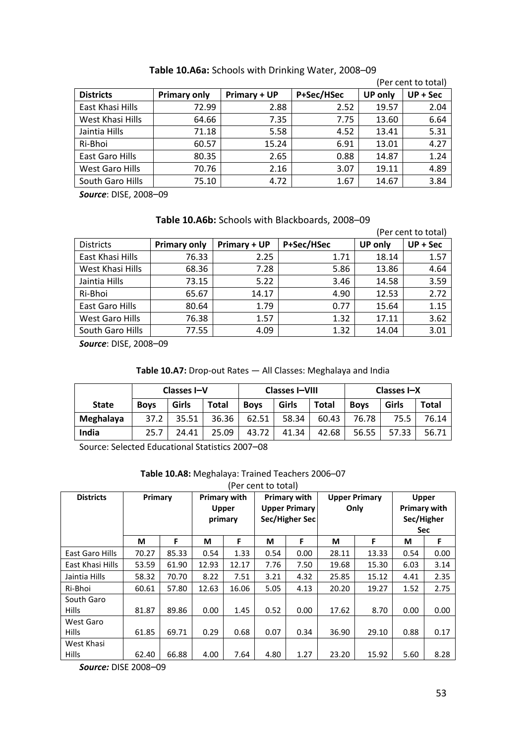|                  |                     |                     |            |                | (Per cent to total) |
|------------------|---------------------|---------------------|------------|----------------|---------------------|
| <b>Districts</b> | <b>Primary only</b> | <b>Primary + UP</b> | P+Sec/HSec | <b>UP only</b> | $UP + Sec$          |
| East Khasi Hills | 72.99               | 2.88                | 2.52       | 19.57          | 2.04                |
| West Khasi Hills | 64.66               | 7.35                | 7.75       | 13.60          | 6.64                |
| Jaintia Hills    | 71.18               | 5.58                | 4.52       | 13.41          | 5.31                |
| Ri-Bhoi          | 60.57               | 15.24               | 6.91       | 13.01          | 4.27                |
| East Garo Hills  | 80.35               | 2.65                | 0.88       | 14.87          | 1.24                |
| West Garo Hills  | 70.76               | 2.16                | 3.07       | 19.11          | 4.89                |
| South Garo Hills | 75.10               | 4.72                | 1.67       | 14.67          | 3.84                |

# **Table 10.A6a:** Schools with Drinking Water, 2008–09

*Source*: DISE, 2008–09

### **Table 10.A6b:** Schools with Blackboards, 2008–09

|                  |                     |              |            |                | (Per cent to total) |
|------------------|---------------------|--------------|------------|----------------|---------------------|
| <b>Districts</b> | <b>Primary only</b> | Primary + UP | P+Sec/HSec | <b>UP only</b> | $UP + Sec$          |
| East Khasi Hills | 76.33               | 2.25         | 1.71       | 18.14          | 1.57                |
| West Khasi Hills | 68.36               | 7.28         | 5.86       | 13.86          | 4.64                |
| Jaintia Hills    | 73.15               | 5.22         | 3.46       | 14.58          | 3.59                |
| Ri-Bhoi          | 65.67               | 14.17        | 4.90       | 12.53          | 2.72                |
| East Garo Hills  | 80.64               | 1.79         | 0.77       | 15.64          | 1.15                |
| West Garo Hills  | 76.38               | 1.57         | 1.32       | 17.11          | 3.62                |
| South Garo Hills | 77.55               | 4.09         | 1.32       | 14.04          | 3.01                |

*Source*: DISE, 2008–09

#### **Table 10.A7:** Drop-out Rates — All Classes: Meghalaya and India

|              | Classes I-V |       |       | <b>Classes I-VIII</b> |       |              | Classes I-X |       |              |
|--------------|-------------|-------|-------|-----------------------|-------|--------------|-------------|-------|--------------|
| <b>State</b> | <b>Boys</b> | Girls | Total | <b>Boys</b>           | Girls | <b>Total</b> | <b>Boys</b> | Girls | <b>Total</b> |
| Meghalaya    | 37.2        | 35.51 | 36.36 | 62.51                 | 58.34 | 60.43        | 76.78       | 75.5  | 76.14        |
| India        | 25.7        | 24.41 | 25.09 | 43.72                 | 41.34 | 42.68        | 56.55       | 57.33 | 56.71        |

Source: Selected Educational Statistics 2007–08

#### **Table 10.A8:** Meghalaya: Trained Teachers 2006–07

|                  | (Per cent to total) |       |                     |                           |                     |                      |                      |            |              |                     |  |
|------------------|---------------------|-------|---------------------|---------------------------|---------------------|----------------------|----------------------|------------|--------------|---------------------|--|
| <b>Districts</b> | Primary             |       | <b>Primary with</b> |                           | <b>Primary with</b> |                      | <b>Upper Primary</b> |            | <b>Upper</b> |                     |  |
|                  |                     |       |                     | Upper                     |                     | <b>Upper Primary</b> |                      | Only       |              | <b>Primary with</b> |  |
|                  |                     |       |                     | Sec/Higher Sec<br>primary |                     |                      |                      |            | Sec/Higher   |                     |  |
|                  |                     |       |                     |                           |                     |                      |                      | <b>Sec</b> |              |                     |  |
|                  | М                   | F     | М                   | F                         | М                   | F                    | М                    | F          | М            | F                   |  |
| East Garo Hills  | 70.27               | 85.33 | 0.54                | 1.33                      | 0.54                | 0.00                 | 28.11                | 13.33      | 0.54         | 0.00                |  |
| East Khasi Hills | 53.59               | 61.90 | 12.93               | 12.17                     | 7.76                | 7.50                 | 19.68                | 15.30      | 6.03         | 3.14                |  |
| Jaintia Hills    | 58.32               | 70.70 | 8.22                | 7.51                      | 3.21                | 4.32                 | 25.85                | 15.12      | 4.41         | 2.35                |  |
| Ri-Bhoi          | 60.61               | 57.80 | 12.63               | 16.06                     | 5.05                | 4.13                 | 20.20                | 19.27      | 1.52         | 2.75                |  |
| South Garo       |                     |       |                     |                           |                     |                      |                      |            |              |                     |  |
| <b>Hills</b>     | 81.87               | 89.86 | 0.00                | 1.45                      | 0.52                | 0.00                 | 17.62                | 8.70       | 0.00         | 0.00                |  |
| West Garo        |                     |       |                     |                           |                     |                      |                      |            |              |                     |  |
| <b>Hills</b>     | 61.85               | 69.71 | 0.29                | 0.68                      | 0.07                | 0.34                 | 36.90                | 29.10      | 0.88         | 0.17                |  |
| West Khasi       |                     |       |                     |                           |                     |                      |                      |            |              |                     |  |
| <b>Hills</b>     | 62.40               | 66.88 | 4.00                | 7.64                      | 4.80                | 1.27                 | 23.20                | 15.92      | 5.60         | 8.28                |  |

*Source:* DISE 2008–09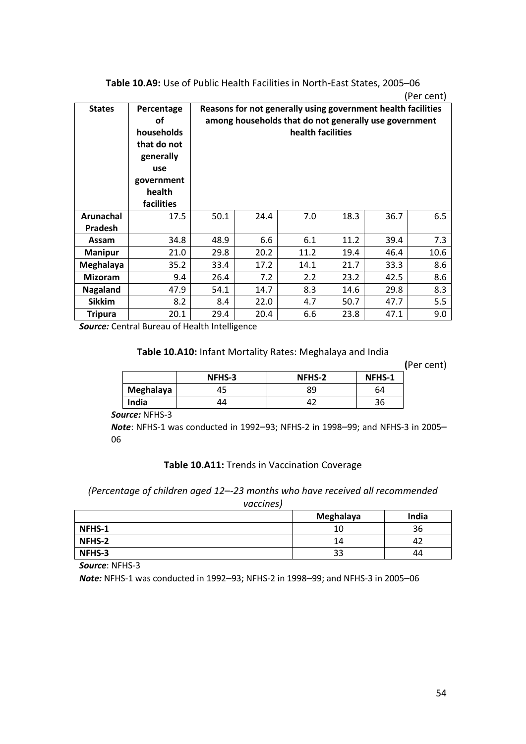|                |                   |      |                   |      |      |                                                              | (Per cent) |  |  |
|----------------|-------------------|------|-------------------|------|------|--------------------------------------------------------------|------------|--|--|
| <b>States</b>  | Percentage        |      |                   |      |      | Reasons for not generally using government health facilities |            |  |  |
|                | οf                |      |                   |      |      | among households that do not generally use government        |            |  |  |
|                | households        |      | health facilities |      |      |                                                              |            |  |  |
|                | that do not       |      |                   |      |      |                                                              |            |  |  |
|                | generally         |      |                   |      |      |                                                              |            |  |  |
|                | use               |      |                   |      |      |                                                              |            |  |  |
|                | government        |      |                   |      |      |                                                              |            |  |  |
|                | health            |      |                   |      |      |                                                              |            |  |  |
|                | <b>facilities</b> |      |                   |      |      |                                                              |            |  |  |
| Arunachal      | 17.5              | 50.1 | 24.4              | 7.0  | 18.3 | 36.7                                                         | 6.5        |  |  |
| Pradesh        |                   |      |                   |      |      |                                                              |            |  |  |
| Assam          | 34.8              | 48.9 | 6.6               | 6.1  | 11.2 | 39.4                                                         | 7.3        |  |  |
| <b>Manipur</b> | 21.0              | 29.8 | 20.2              | 11.2 | 19.4 | 46.4                                                         | 10.6       |  |  |
| Meghalaya      | 35.2              | 33.4 | 17.2              | 14.1 | 21.7 | 33.3                                                         | 8.6        |  |  |
| <b>Mizoram</b> | 9.4               | 26.4 | 7.2               | 2.2  | 23.2 | 42.5                                                         | 8.6        |  |  |
| Nagaland       | 47.9              | 54.1 | 14.7              | 8.3  | 14.6 | 29.8                                                         | 8.3        |  |  |
| <b>Sikkim</b>  | 8.2               | 8.4  | 22.0              | 4.7  | 50.7 | 47.7                                                         | 5.5        |  |  |
| <b>Tripura</b> | 20.1              | 29.4 | 20.4              | 6.6  | 23.8 | 47.1                                                         | 9.0        |  |  |

**Table 10.A9:** Use of Public Health Facilities in North-East States, 2005–06

*Source:* Central Bureau of Health Intelligence

#### **Table 10.A10:** Infant Mortality Rates: Meghalaya and India

**(**Per cent)

|           | NFHS-3 | NFHS-2 | NFHS-1 |
|-----------|--------|--------|--------|
| Meghalaya |        | 89     | 64     |
| India     | 44     |        | 36     |

*Source:* NFHS-3

*Note*: NFHS-1 was conducted in 1992–93; NFHS-2 in 1998–99; and NFHS-3 in 2005– 06

#### **Table 10.A11:** Trends in Vaccination Coverage

*(Percentage of children aged 12*–*-23 months who have received all recommended* 

*vaccines)*

|               | Meghalaya | India |
|---------------|-----------|-------|
| NFHS-1        | 10        | 36    |
| <b>NFHS-2</b> | 14        | 42    |
| NFHS-3        | 33        | 44    |

*Source*: NFHS-3

*Note:* NFHS-1 was conducted in 1992–93; NFHS-2 in 1998–99; and NFHS-3 in 2005–06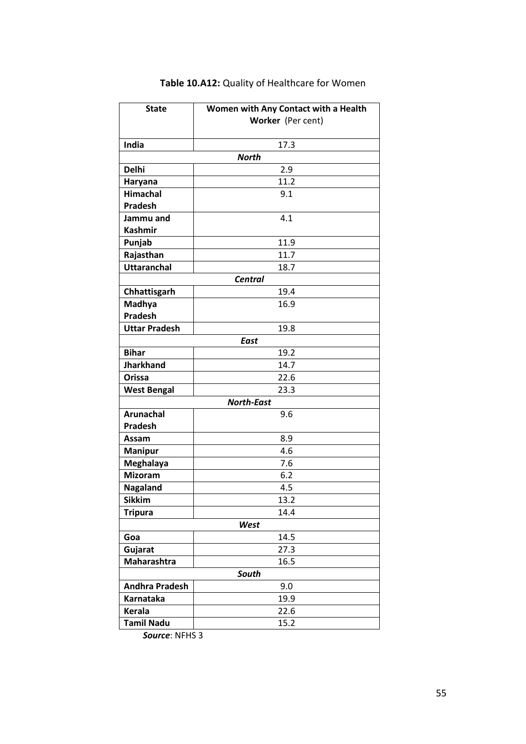| <b>State</b>          | Women with Any Contact with a Health |  |  |  |  |
|-----------------------|--------------------------------------|--|--|--|--|
|                       | Worker (Per cent)                    |  |  |  |  |
|                       |                                      |  |  |  |  |
| India                 | 17.3                                 |  |  |  |  |
|                       | <b>North</b>                         |  |  |  |  |
| <b>Delhi</b>          | 2.9                                  |  |  |  |  |
| Haryana               | 11.2                                 |  |  |  |  |
| <b>Himachal</b>       | 9.1                                  |  |  |  |  |
| <b>Pradesh</b>        |                                      |  |  |  |  |
| Jammu and             | 4.1                                  |  |  |  |  |
| <b>Kashmir</b>        |                                      |  |  |  |  |
| Punjab                | 11.9                                 |  |  |  |  |
| Rajasthan             | 11.7                                 |  |  |  |  |
| <b>Uttaranchal</b>    | 18.7                                 |  |  |  |  |
|                       | <b>Central</b>                       |  |  |  |  |
| Chhattisgarh          | 19.4                                 |  |  |  |  |
| Madhya                | 16.9                                 |  |  |  |  |
| <b>Pradesh</b>        |                                      |  |  |  |  |
| <b>Uttar Pradesh</b>  | 19.8                                 |  |  |  |  |
|                       | <b>East</b>                          |  |  |  |  |
| <b>Bihar</b>          | 19.2                                 |  |  |  |  |
| <b>Jharkhand</b>      | 14.7                                 |  |  |  |  |
| <b>Orissa</b>         | 22.6                                 |  |  |  |  |
| <b>West Bengal</b>    | 23.3                                 |  |  |  |  |
|                       | <b>North-East</b>                    |  |  |  |  |
| <b>Arunachal</b>      | 9.6                                  |  |  |  |  |
| <b>Pradesh</b>        |                                      |  |  |  |  |
| Assam                 | 8.9                                  |  |  |  |  |
| <b>Manipur</b>        | 4.6                                  |  |  |  |  |
| Meghalaya             | 7.6                                  |  |  |  |  |
| <b>Mizoram</b>        | 6.2                                  |  |  |  |  |
| Nagaland              | 4.5                                  |  |  |  |  |
| <b>Sikkim</b>         | 13.2                                 |  |  |  |  |
| <b>Tripura</b>        | 14.4                                 |  |  |  |  |
|                       | West                                 |  |  |  |  |
| Goa                   | 14.5                                 |  |  |  |  |
| Gujarat               | 27.3                                 |  |  |  |  |
| Maharashtra           | 16.5                                 |  |  |  |  |
|                       | South                                |  |  |  |  |
| <b>Andhra Pradesh</b> | 9.0                                  |  |  |  |  |
| Karnataka             | 19.9                                 |  |  |  |  |
| <b>Kerala</b>         | 22.6                                 |  |  |  |  |
| <b>Tamil Nadu</b>     | 15.2                                 |  |  |  |  |

# **Table 10.A12:** Quality of Healthcare for Women

*Source*: NFHS 3